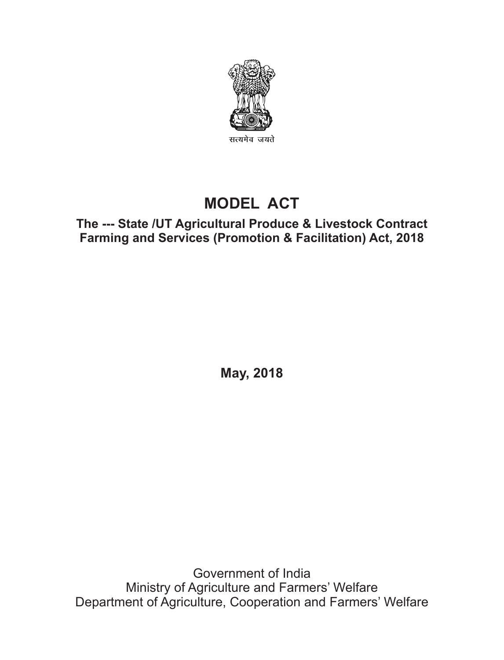

# **MODEL ACT**

### **The --- State /UT Agricultural Produce & Livestock Contract Farming and Services (Promotion & Facilitation) Act, 2018**

**May, 2018**

Government of India Ministry of Agriculture and Farmers' Welfare Department of Agriculture, Cooperation and Farmers' Welfare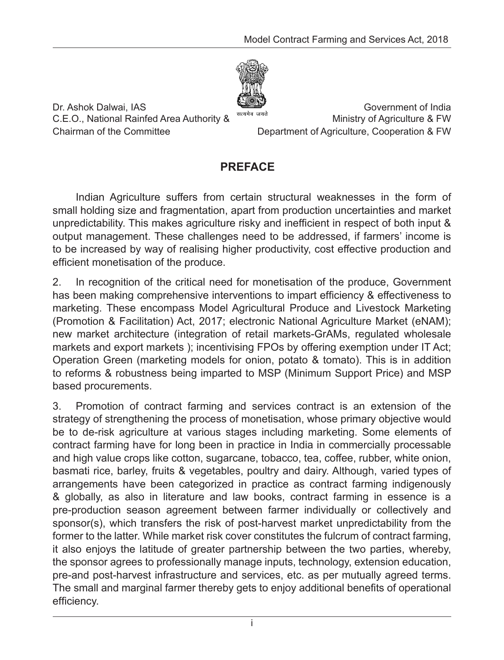

Dr. Ashok Dalwai, IAS Government of India C.E.O., National Rainfed Area Authority & Tready Ministry of Agriculture & FW Chairman of the Committee Department of Agriculture, Cooperation & FW

#### **PREFACE**

Indian Agriculture suffers from certain structural weaknesses in the form of small holding size and fragmentation, apart from production uncertainties and market unpredictability. This makes agriculture risky and inefficient in respect of both input & output management. These challenges need to be addressed, if farmers' income is to be increased by way of realising higher productivity, cost effective production and efficient monetisation of the produce.

2. In recognition of the critical need for monetisation of the produce, Government has been making comprehensive interventions to impart efficiency & effectiveness to marketing. These encompass Model Agricultural Produce and Livestock Marketing (Promotion & Facilitation) Act, 2017; electronic National Agriculture Market (eNAM); new market architecture (integration of retail markets-GrAMs, regulated wholesale markets and export markets ); incentivising FPOs by offering exemption under IT Act; Operation Green (marketing models for onion, potato & tomato). This is in addition to reforms & robustness being imparted to MSP (Minimum Support Price) and MSP based procurements.

3. Promotion of contract farming and services contract is an extension of the strategy of strengthening the process of monetisation, whose primary objective would be to de-risk agriculture at various stages including marketing. Some elements of contract farming have for long been in practice in India in commercially processable and high value crops like cotton, sugarcane, tobacco, tea, coffee, rubber, white onion, basmati rice, barley, fruits & vegetables, poultry and dairy. Although, varied types of arrangements have been categorized in practice as contract farming indigenously & globally, as also in literature and law books, contract farming in essence is a pre-production season agreement between farmer individually or collectively and sponsor(s), which transfers the risk of post-harvest market unpredictability from the former to the latter. While market risk cover constitutes the fulcrum of contract farming, it also enjoys the latitude of greater partnership between the two parties, whereby, the sponsor agrees to professionally manage inputs, technology, extension education, pre-and post-harvest infrastructure and services, etc. as per mutually agreed terms. The small and marginal farmer thereby gets to enjoy additional benefits of operational efficiency.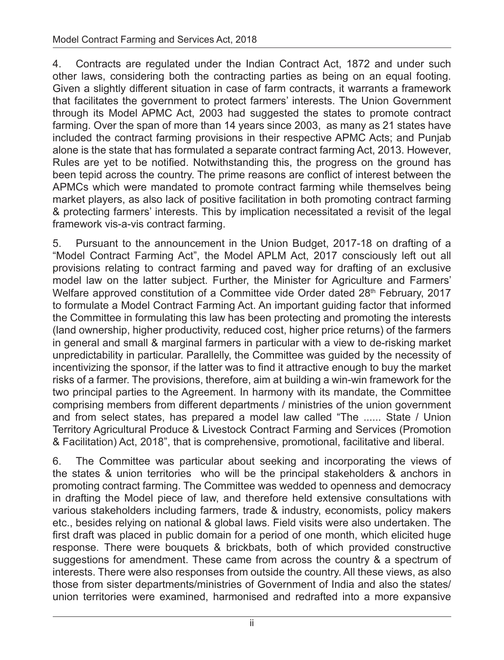4. Contracts are regulated under the Indian Contract Act, 1872 and under such other laws, considering both the contracting parties as being on an equal footing. Given a slightly different situation in case of farm contracts, it warrants a framework that facilitates the government to protect farmers' interests. The Union Government through its Model APMC Act, 2003 had suggested the states to promote contract farming. Over the span of more than 14 years since 2003, as many as 21 states have included the contract farming provisions in their respective APMC Acts; and Punjab alone is the state that has formulated a separate contract farming Act, 2013. However, Rules are yet to be notified. Notwithstanding this, the progress on the ground has been tepid across the country. The prime reasons are conflict of interest between the APMCs which were mandated to promote contract farming while themselves being market players, as also lack of positive facilitation in both promoting contract farming & protecting farmers' interests. This by implication necessitated a revisit of the legal framework vis-a-vis contract farming.

5. Pursuant to the announcement in the Union Budget, 2017-18 on drafting of a "Model Contract Farming Act", the Model APLM Act, 2017 consciously left out all provisions relating to contract farming and paved way for drafting of an exclusive model law on the latter subject. Further, the Minister for Agriculture and Farmers' Welfare approved constitution of a Committee vide Order dated 28<sup>th</sup> February, 2017 to formulate a Model Contract Farming Act. An important guiding factor that informed the Committee in formulating this law has been protecting and promoting the interests (land ownership, higher productivity, reduced cost, higher price returns) of the farmers in general and small & marginal farmers in particular with a view to de-risking market unpredictability in particular. Parallelly, the Committee was guided by the necessity of incentivizing the sponsor, if the latter was to find it attractive enough to buy the market risks of a farmer. The provisions, therefore, aim at building a win-win framework for the two principal parties to the Agreement. In harmony with its mandate, the Committee comprising members from different departments / ministries of the union government and from select states, has prepared a model law called "The ...... State / Union Territory Agricultural Produce & Livestock Contract Farming and Services (Promotion & Facilitation) Act, 2018", that is comprehensive, promotional, facilitative and liberal.

6. The Committee was particular about seeking and incorporating the views of the states & union territories who will be the principal stakeholders & anchors in promoting contract farming. The Committee was wedded to openness and democracy in drafting the Model piece of law, and therefore held extensive consultations with various stakeholders including farmers, trade & industry, economists, policy makers etc., besides relying on national & global laws. Field visits were also undertaken. The first draft was placed in public domain for a period of one month, which elicited huge response. There were bouquets & brickbats, both of which provided constructive suggestions for amendment. These came from across the country & a spectrum of interests. There were also responses from outside the country. All these views, as also those from sister departments/ministries of Government of India and also the states/ union territories were examined, harmonised and redrafted into a more expansive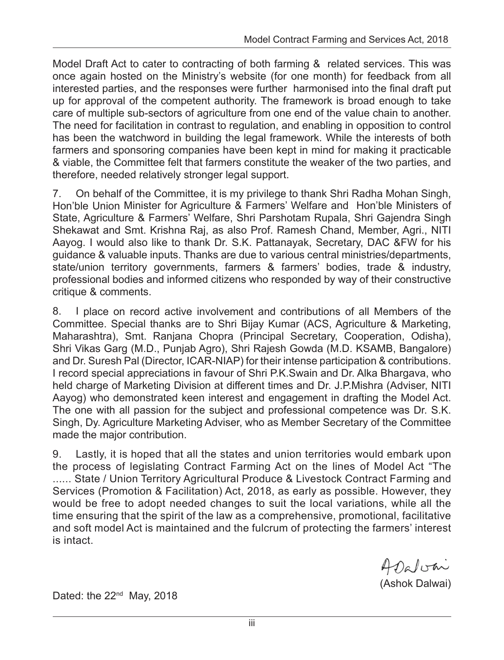Model Draft Act to cater to contracting of both farming & related services. This was once again hosted on the Ministry's website (for one month) for feedback from all interested parties, and the responses were further harmonised into the final draft put up for approval of the competent authority. The framework is broad enough to take care of multiple sub-sectors of agriculture from one end of the value chain to another. The need for facilitation in contrast to regulation, and enabling in opposition to control has been the watchword in building the legal framework. While the interests of both farmers and sponsoring companies have been kept in mind for making it practicable & viable, the Committee felt that farmers constitute the weaker of the two parties, and therefore, needed relatively stronger legal support.

7. On behalf of the Committee, it is my privilege to thank Shri Radha Mohan Singh, Hon'ble Union Minister for Agriculture & Farmers' Welfare and Hon'ble Ministers of State, Agriculture & Farmers' Welfare, Shri Parshotam Rupala, Shri Gajendra Singh Shekawat and Smt. Krishna Raj, as also Prof. Ramesh Chand, Member, Agri., NITI Aayog. I would also like to thank Dr. S.K. Pattanayak, Secretary, DAC &FW for his guidance & valuable inputs. Thanks are due to various central ministries/departments, state/union territory governments, farmers & farmers' bodies, trade & industry, professional bodies and informed citizens who responded by way of their constructive critique & comments.

8. I place on record active involvement and contributions of all Members of the Committee. Special thanks are to Shri Bijay Kumar (ACS, Agriculture & Marketing, Maharashtra), Smt. Ranjana Chopra (Principal Secretary, Cooperation, Odisha), Shri Vikas Garg (M.D., Punjab Agro), Shri Rajesh Gowda (M.D. KSAMB, Bangalore) and Dr. Suresh Pal (Director, ICAR-NIAP) for their intense participation & contributions. I record special appreciations in favour of Shri P.K.Swain and Dr. Alka Bhargava, who held charge of Marketing Division at different times and Dr. J.P.Mishra (Adviser, NITI Aayog) who demonstrated keen interest and engagement in drafting the Model Act. The one with all passion for the subject and professional competence was Dr. S.K. Singh, Dy. Agriculture Marketing Adviser, who as Member Secretary of the Committee made the major contribution.

9. Lastly, it is hoped that all the states and union territories would embark upon the process of legislating Contract Farming Act on the lines of Model Act "The ...... State / Union Territory Agricultural Produce & Livestock Contract Farming and Services (Promotion & Facilitation) Act, 2018, as early as possible. However, they would be free to adopt needed changes to suit the local variations, while all the time ensuring that the spirit of the law as a comprehensive, promotional, facilitative and soft model Act is maintained and the fulcrum of protecting the farmers' interest is intact.

ADalvai

(Ashok Dalwai)

Dated: the  $22<sup>nd</sup>$  May, 2018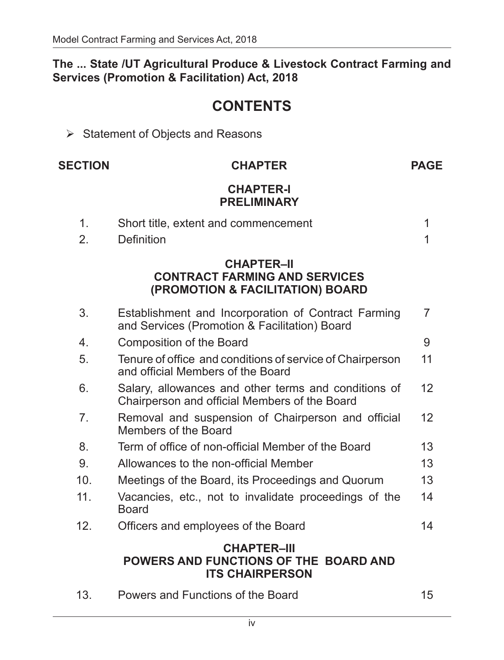#### **The ... State /UT Agricultural Produce & Livestock Contract Farming and Services (Promotion & Facilitation) Act, 2018**

# **CONTENTS**

 $\triangleright$  Statement of Objects and Reasons

| <b>SECTION</b> | <b>CHAPTER</b>                                                                                        | <b>PAGE</b>    |
|----------------|-------------------------------------------------------------------------------------------------------|----------------|
|                | <b>CHAPTER-I</b><br><b>PRELIMINARY</b>                                                                |                |
| 1.             | Short title, extent and commencement                                                                  | 1              |
| 2.             | <b>Definition</b>                                                                                     | 1              |
|                | <b>CHAPTER-II</b><br><b>CONTRACT FARMING AND SERVICES</b><br>(PROMOTION & FACILITATION) BOARD         |                |
| 3.             | Establishment and Incorporation of Contract Farming<br>and Services (Promotion & Facilitation) Board  | $\overline{7}$ |
| 4.             | Composition of the Board                                                                              | 9              |
| 5.             | Tenure of office and conditions of service of Chairperson<br>and official Members of the Board        | 11             |
| 6.             | Salary, allowances and other terms and conditions of<br>Chairperson and official Members of the Board | 12             |
| 7 <sub>1</sub> | Removal and suspension of Chairperson and official<br>Members of the Board                            | 12             |
| 8.             | Term of office of non-official Member of the Board                                                    | 13             |
| 9.             | Allowances to the non-official Member                                                                 | 13             |
| 10.            | Meetings of the Board, its Proceedings and Quorum                                                     | 13             |
| 11.            | Vacancies, etc., not to invalidate proceedings of the<br><b>Board</b>                                 | 14             |
| 12.            | Officers and employees of the Board                                                                   | 14             |
|                | <b>CHAPTER-III</b>                                                                                    |                |

### **POWERS AND FUNCTIONS OF THE BOARD AND ITS CHAIRPERSON**

13. Powers and Functions of the Board 15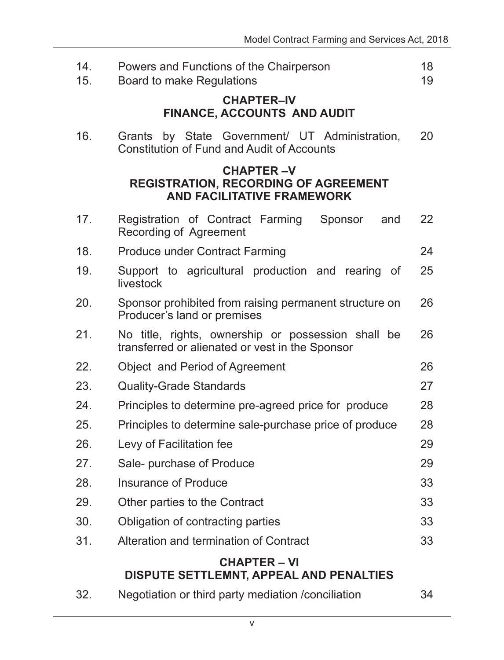| 14.<br>15. | Powers and Functions of the Chairperson<br>18<br>Board to make Regulations<br>19                       |    |  |  |
|------------|--------------------------------------------------------------------------------------------------------|----|--|--|
|            | <b>CHAPTER-IV</b><br><b>FINANCE, ACCOUNTS AND AUDIT</b>                                                |    |  |  |
| 16.        | by State Government/ UT Administration,<br>Grants<br><b>Constitution of Fund and Audit of Accounts</b> | 20 |  |  |
|            | <b>CHAPTER-V</b><br><b>REGISTRATION, RECORDING OF AGREEMENT</b><br><b>AND FACILITATIVE FRAMEWORK</b>   |    |  |  |
| 17.        | Registration of Contract Farming<br>Sponsor<br>and<br>Recording of Agreement                           | 22 |  |  |
| 18.        | <b>Produce under Contract Farming</b>                                                                  | 24 |  |  |
| 19.        | Support to agricultural production and rearing of<br>livestock                                         | 25 |  |  |
| 20.        | Sponsor prohibited from raising permanent structure on<br>Producer's land or premises                  | 26 |  |  |
| 21.        | No title, rights, ownership or possession shall be<br>transferred or alienated or vest in the Sponsor  | 26 |  |  |
| 22.        | Object and Period of Agreement<br>26                                                                   |    |  |  |
| 23.        | 27<br><b>Quality-Grade Standards</b>                                                                   |    |  |  |
| 24.        | Principles to determine pre-agreed price for produce<br>28                                             |    |  |  |
| 25.        | Principles to determine sale-purchase price of produce<br>28                                           |    |  |  |
| 26.        | Levy of Facilitation fee                                                                               | 29 |  |  |
| 27.        | Sale- purchase of Produce                                                                              | 29 |  |  |
| 28.        | <b>Insurance of Produce</b>                                                                            | 33 |  |  |
| 29.        | Other parties to the Contract                                                                          | 33 |  |  |
| 30.        | Obligation of contracting parties                                                                      | 33 |  |  |
| 31.        | Alteration and termination of Contract                                                                 | 33 |  |  |
|            | <b>CHAPTER – VI</b><br>DISPUTE SETTLEMNT, APPEAL AND PENALTIES                                         |    |  |  |

| 32. | Negotiation or third party mediation / conciliation | 34 |
|-----|-----------------------------------------------------|----|
|-----|-----------------------------------------------------|----|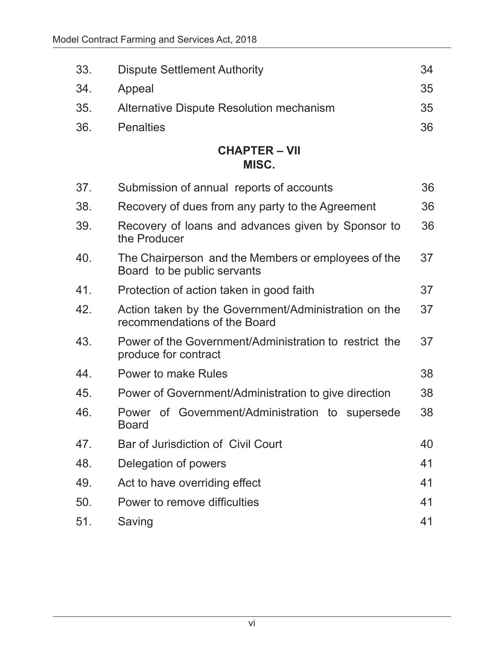| 33. | <b>Dispute Settlement Authority</b>                                                  | 34 |  |  |  |  |
|-----|--------------------------------------------------------------------------------------|----|--|--|--|--|
| 34. | Appeal                                                                               |    |  |  |  |  |
| 35. | <b>Alternative Dispute Resolution mechanism</b>                                      |    |  |  |  |  |
| 36. | <b>Penalties</b>                                                                     | 36 |  |  |  |  |
|     | <b>CHAPTER - VII</b><br>MISC.                                                        |    |  |  |  |  |
| 37. | Submission of annual reports of accounts                                             | 36 |  |  |  |  |
| 38. | Recovery of dues from any party to the Agreement                                     | 36 |  |  |  |  |
| 39. | Recovery of loans and advances given by Sponsor to<br>the Producer                   | 36 |  |  |  |  |
| 40. | The Chairperson and the Members or employees of the<br>Board to be public servants   | 37 |  |  |  |  |
| 41. | Protection of action taken in good faith                                             | 37 |  |  |  |  |
| 42. | Action taken by the Government/Administration on the<br>recommendations of the Board | 37 |  |  |  |  |
| 43. | Power of the Government/Administration to restrict the<br>produce for contract       | 37 |  |  |  |  |
| 44. | Power to make Rules                                                                  | 38 |  |  |  |  |
| 45. | Power of Government/Administration to give direction                                 | 38 |  |  |  |  |
| 46. | Power of Government/Administration to supersede<br><b>Board</b>                      | 38 |  |  |  |  |
| 47. | Bar of Jurisdiction of Civil Court                                                   | 40 |  |  |  |  |
| 48. | Delegation of powers                                                                 | 41 |  |  |  |  |
| 49. | Act to have overriding effect                                                        | 41 |  |  |  |  |
| 50. | Power to remove difficulties                                                         | 41 |  |  |  |  |
| 51. | Saving                                                                               | 41 |  |  |  |  |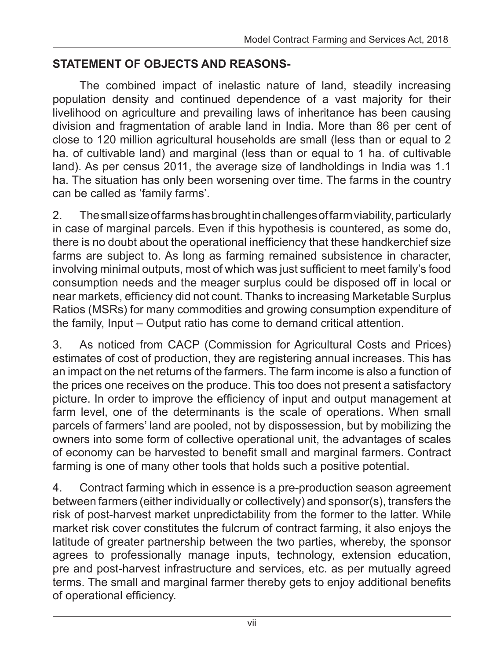#### **STATEMENT OF OBJECTS AND REASONS-**

The combined impact of inelastic nature of land, steadily increasing population density and continued dependence of a vast majority for their livelihood on agriculture and prevailing laws of inheritance has been causing division and fragmentation of arable land in India. More than 86 per cent of close to 120 million agricultural households are small (less than or equal to 2 ha. of cultivable land) and marginal (less than or equal to 1 ha. of cultivable land). As per census 2011, the average size of landholdings in India was 1.1 ha. The situation has only been worsening over time. The farms in the country can be called as 'family farms'.

2. The small size of farms has brought in challenges of farm viability, particularly in case of marginal parcels. Even if this hypothesis is countered, as some do, there is no doubt about the operational inefficiency that these handkerchief size farms are subject to. As long as farming remained subsistence in character, involving minimal outputs, most of which was just sufficient to meet family's food consumption needs and the meager surplus could be disposed off in local or near markets, efficiency did not count. Thanks to increasing Marketable Surplus Ratios (MSRs) for many commodities and growing consumption expenditure of the family, Input – Output ratio has come to demand critical attention.

3. As noticed from CACP (Commission for Agricultural Costs and Prices) estimates of cost of production, they are registering annual increases. This has an impact on the net returns of the farmers. The farm income is also a function of the prices one receives on the produce. This too does not present a satisfactory picture. In order to improve the efficiency of input and output management at farm level, one of the determinants is the scale of operations. When small parcels of farmers' land are pooled, not by dispossession, but by mobilizing the owners into some form of collective operational unit, the advantages of scales of economy can be harvested to benefit small and marginal farmers. Contract farming is one of many other tools that holds such a positive potential.

4. Contract farming which in essence is a pre-production season agreement between farmers (either individually or collectively) and sponsor(s), transfers the risk of post-harvest market unpredictability from the former to the latter. While market risk cover constitutes the fulcrum of contract farming, it also enjoys the latitude of greater partnership between the two parties, whereby, the sponsor agrees to professionally manage inputs, technology, extension education, pre and post-harvest infrastructure and services, etc. as per mutually agreed terms. The small and marginal farmer thereby gets to enjoy additional benefits of operational efficiency.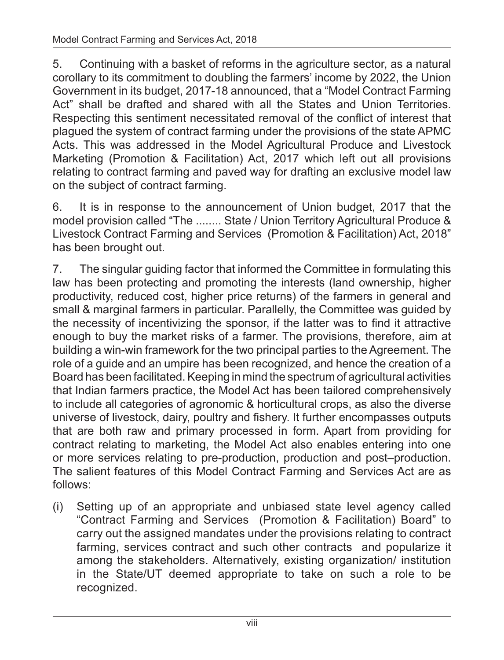5. Continuing with a basket of reforms in the agriculture sector, as a natural corollary to its commitment to doubling the farmers' income by 2022, the Union Government in its budget, 2017-18 announced, that a "Model Contract Farming Act" shall be drafted and shared with all the States and Union Territories. Respecting this sentiment necessitated removal of the conflict of interest that plagued the system of contract farming under the provisions of the state APMC Acts. This was addressed in the Model Agricultural Produce and Livestock Marketing (Promotion & Facilitation) Act, 2017 which left out all provisions relating to contract farming and paved way for drafting an exclusive model law on the subject of contract farming.

6. It is in response to the announcement of Union budget, 2017 that the model provision called "The ........ State / Union Territory Agricultural Produce & Livestock Contract Farming and Services (Promotion & Facilitation) Act, 2018" has been brought out.

7. The singular guiding factor that informed the Committee in formulating this law has been protecting and promoting the interests (land ownership, higher productivity, reduced cost, higher price returns) of the farmers in general and small & marginal farmers in particular. Parallelly, the Committee was guided by the necessity of incentivizing the sponsor, if the latter was to find it attractive enough to buy the market risks of a farmer. The provisions, therefore, aim at building a win-win framework for the two principal parties to the Agreement. The role of a guide and an umpire has been recognized, and hence the creation of a Board has been facilitated. Keeping in mind the spectrum of agricultural activities that Indian farmers practice, the Model Act has been tailored comprehensively to include all categories of agronomic & horticultural crops, as also the diverse universe of livestock, dairy, poultry and fishery. It further encompasses outputs that are both raw and primary processed in form. Apart from providing for contract relating to marketing, the Model Act also enables entering into one or more services relating to pre-production, production and post–production. The salient features of this Model Contract Farming and Services Act are as follows:

(i) Setting up of an appropriate and unbiased state level agency called "Contract Farming and Services (Promotion & Facilitation) Board" to carry out the assigned mandates under the provisions relating to contract farming, services contract and such other contracts and popularize it among the stakeholders. Alternatively, existing organization/ institution in the State/UT deemed appropriate to take on such a role to be recognized.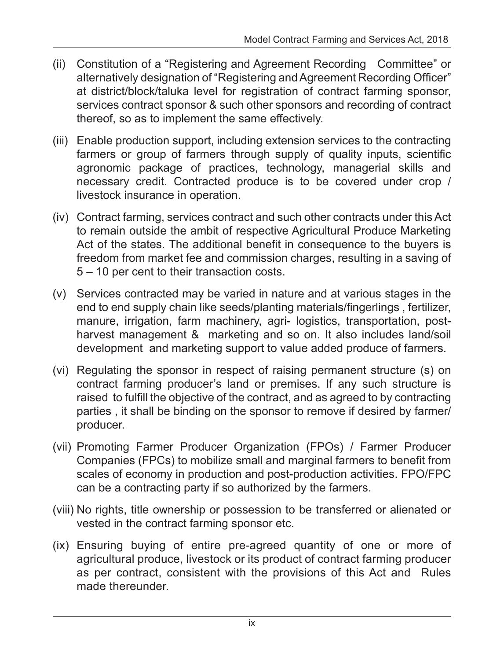- (ii) Constitution of a "Registering and Agreement Recording Committee" or alternatively designation of "Registering and Agreement Recording Officer" at district/block/taluka level for registration of contract farming sponsor, services contract sponsor & such other sponsors and recording of contract thereof, so as to implement the same effectively.
- (iii) Enable production support, including extension services to the contracting farmers or group of farmers through supply of quality inputs, scientific agronomic package of practices, technology, managerial skills and necessary credit. Contracted produce is to be covered under crop / livestock insurance in operation.
- (iv) Contract farming, services contract and such other contracts under this Act to remain outside the ambit of respective Agricultural Produce Marketing Act of the states. The additional benefit in consequence to the buyers is freedom from market fee and commission charges, resulting in a saving of 5 – 10 per cent to their transaction costs.
- (v) Services contracted may be varied in nature and at various stages in the end to end supply chain like seeds/planting materials/fingerlings , fertilizer, manure, irrigation, farm machinery, agri- logistics, transportation, postharvest management & marketing and so on. It also includes land/soil development and marketing support to value added produce of farmers.
- (vi) Regulating the sponsor in respect of raising permanent structure (s) on contract farming producer's land or premises. If any such structure is raised to fulfill the objective of the contract, and as agreed to by contracting parties , it shall be binding on the sponsor to remove if desired by farmer/ producer.
- (vii) Promoting Farmer Producer Organization (FPOs) / Farmer Producer Companies (FPCs) to mobilize small and marginal farmers to benefit from scales of economy in production and post-production activities. FPO/FPC can be a contracting party if so authorized by the farmers.
- (viii) No rights, title ownership or possession to be transferred or alienated or vested in the contract farming sponsor etc.
- (ix) Ensuring buying of entire pre-agreed quantity of one or more of agricultural produce, livestock or its product of contract farming producer as per contract, consistent with the provisions of this Act and Rules made thereunder.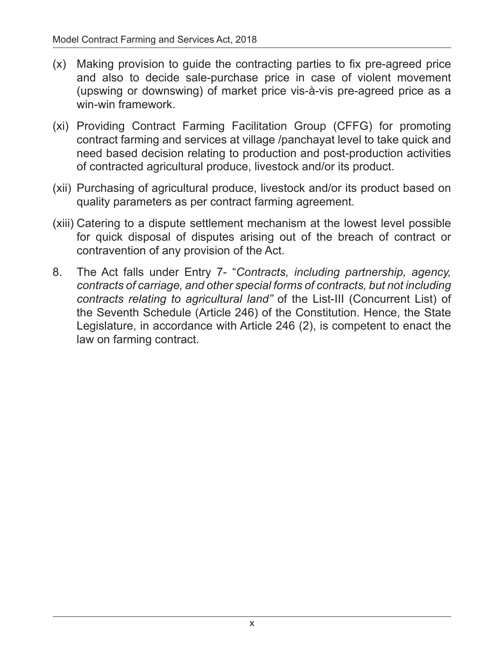- (x) Making provision to guide the contracting parties to fix pre-agreed price and also to decide sale-purchase price in case of violent movement (upswing or downswing) of market price vis-à-vis pre-agreed price as a win-win framework.
- (xi) Providing Contract Farming Facilitation Group (CFFG) for promoting contract farming and services at village /panchayat level to take quick and need based decision relating to production and post-production activities of contracted agricultural produce, livestock and/or its product.
- (xii) Purchasing of agricultural produce, livestock and/or its product based on quality parameters as per contract farming agreement.
- (xiii) Catering to a dispute settlement mechanism at the lowest level possible for quick disposal of disputes arising out of the breach of contract or contravention of any provision of the Act.
- 8. The Act falls under Entry 7- "*Contracts, including partnership, agency, contracts of carriage, and other special forms of contracts, but not including contracts relating to agricultural land"* of the List-III (Concurrent List) of the Seventh Schedule (Article 246) of the Constitution. Hence, the State Legislature, in accordance with Article 246 (2), is competent to enact the law on farming contract.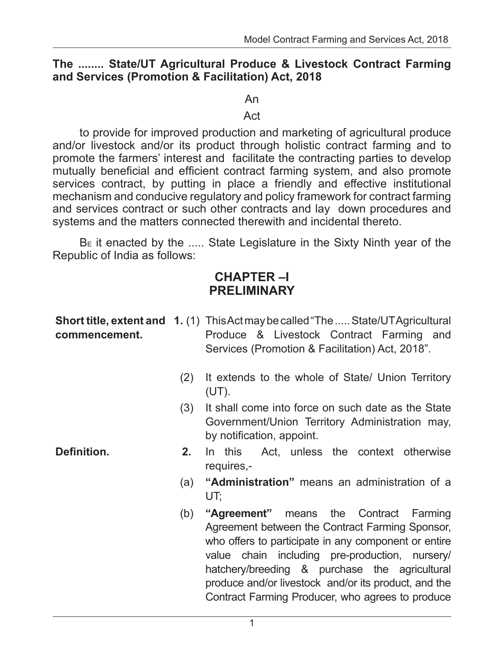#### **The ........ State/UT Agricultural Produce & Livestock Contract Farming and Services (Promotion & Facilitation) Act, 2018**

#### An

#### Act

to provide for improved production and marketing of agricultural produce and/or livestock and/or its product through holistic contract farming and to promote the farmers' interest and facilitate the contracting parties to develop mutually beneficial and efficient contract farming system, and also promote services contract, by putting in place a friendly and effective institutional mechanism and conducive regulatory and policy framework for contract farming and services contract or such other contracts and lay down procedures and systems and the matters connected therewith and incidental thereto.

B<sub>E</sub> it enacted by the ..... State Legislature in the Sixty Ninth year of the Republic of India as follows:

#### **CHAPTER –I PRELIMINARY**

| commencement. |         | <b>Short title, extent and 1.</b> (1) This Act may be called "The  State/UT Agricultural<br>Produce & Livestock Contract Farming and<br>Services (Promotion & Facilitation) Act, 2018".                                                                                                                      |
|---------------|---------|--------------------------------------------------------------------------------------------------------------------------------------------------------------------------------------------------------------------------------------------------------------------------------------------------------------|
|               | (2)     | It extends to the whole of State/ Union Territory<br>$(UT)$ .                                                                                                                                                                                                                                                |
|               | (3)     | It shall come into force on such date as the State<br>Government/Union Territory Administration may,<br>by notification, appoint.                                                                                                                                                                            |
| Definition.   | $2_{-}$ | In this Act, unless the context otherwise<br>requires,-                                                                                                                                                                                                                                                      |
|               | (a)     | "Administration" means an administration of a<br>UT;                                                                                                                                                                                                                                                         |
|               | (b)     | "Agreement" means the Contract Farming<br>Agreement between the Contract Farming Sponsor,<br>who offers to participate in any component or entire<br>value chain including pre-production, nursery/<br>hatchery/breeding & purchase the agricultural<br>produce and/or livestock and/or its product, and the |

Contract Farming Producer, who agrees to produce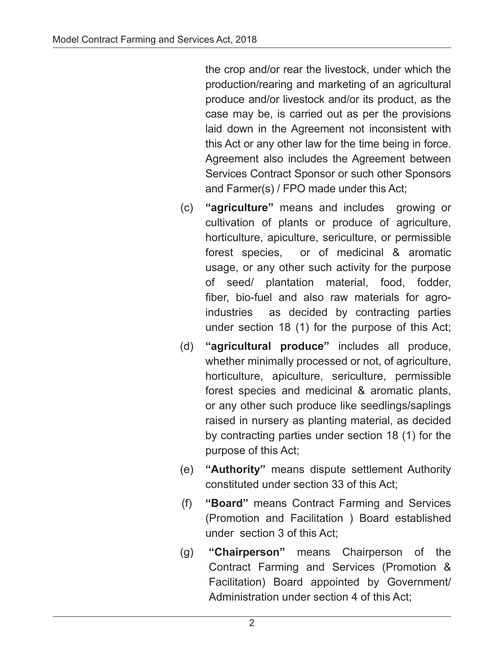the crop and/or rear the livestock, under which the production/rearing and marketing of an agricultural produce and/or livestock and/or its product, as the case may be, is carried out as per the provisions laid down in the Agreement not inconsistent with this Act or any other law for the time being in force. Agreement also includes the Agreement between Services Contract Sponsor or such other Sponsors and Farmer(s) / FPO made under this Act;

- (c) **"agriculture"** means and includes growing or cultivation of plants or produce of agriculture, horticulture, apiculture, sericulture, or permissible forest species, or of medicinal & aromatic usage, or any other such activity for the purpose of seed/ plantation material, food, fodder, fiber, bio-fuel and also raw materials for agroindustries as decided by contracting parties under section 18 (1) for the purpose of this Act;
- (d) **"agricultural produce"** includes all produce, whether minimally processed or not, of agriculture, horticulture, apiculture, sericulture, permissible forest species and medicinal & aromatic plants, or any other such produce like seedlings/saplings raised in nursery as planting material, as decided by contracting parties under section 18 (1) for the purpose of this Act;
- (e) **"Authority"** means dispute settlement Authority constituted under section 33 of this Act;
- (f) **"Board"** means Contract Farming and Services (Promotion and Facilitation ) Board established under section 3 of this Act;
- (g) **"Chairperson"** means Chairperson of the Contract Farming and Services (Promotion & Facilitation) Board appointed by Government/ Administration under section 4 of this Act;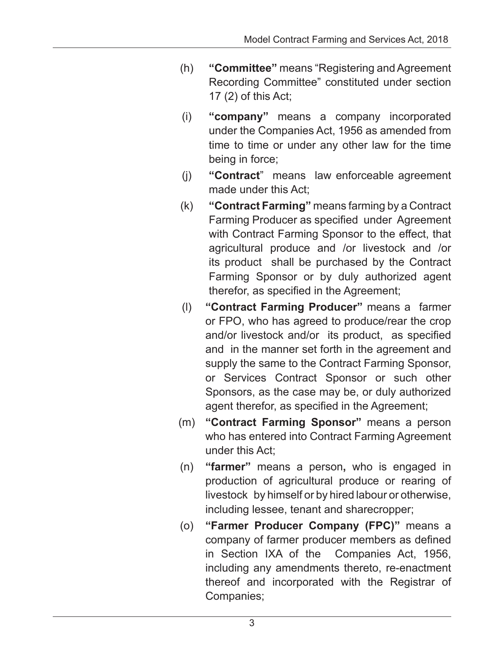- (h) **"Committee"** means "Registering and Agreement Recording Committee" constituted under section 17 (2) of this Act;
- (i) **"company"** means a company incorporated under the Companies Act, 1956 as amended from time to time or under any other law for the time being in force;
- (j) **"Contract**" means law enforceable agreement made under this Act;
- (k) **"Contract Farming"** means farming by a Contract Farming Producer as specified under Agreement with Contract Farming Sponsor to the effect, that agricultural produce and /or livestock and /or its product shall be purchased by the Contract Farming Sponsor or by duly authorized agent therefor, as specified in the Agreement;
- (l) **"Contract Farming Producer"** means a farmer or FPO, who has agreed to produce/rear the crop and/or livestock and/or its product, as specified and in the manner set forth in the agreement and supply the same to the Contract Farming Sponsor, or Services Contract Sponsor or such other Sponsors, as the case may be, or duly authorized agent therefor, as specified in the Agreement;
- (m) **"Contract Farming Sponsor"** means a person who has entered into Contract Farming Agreement under this Act;
- (n) **"farmer"** means a person**,** who is engaged in production of agricultural produce or rearing of livestock by himself or by hired labour or otherwise, including lessee, tenant and sharecropper;
- (o) **"Farmer Producer Company (FPC)"** means a company of farmer producer members as defined in Section IXA of the Companies Act, 1956, including any amendments thereto, re-enactment thereof and incorporated with the Registrar of Companies;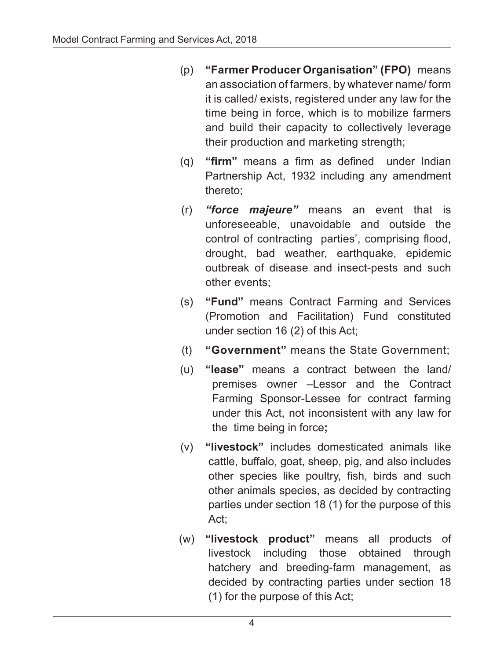- (p) **"Farmer Producer Organisation" (FPO)** means an association of farmers, by whatever name/ form it is called/ exists, registered under any law for the time being in force, which is to mobilize farmers and build their capacity to collectively leverage their production and marketing strength;
- (q) **"firm"** means a firm as defined under Indian Partnership Act, 1932 including any amendment thereto;
- (r) *"force majeure"* means an event that is unforeseeable, unavoidable and outside the control of contracting parties', comprising flood, drought, bad weather, earthquake, epidemic outbreak of disease and insect-pests and such other events;
- (s) **"Fund"** means Contract Farming and Services (Promotion and Facilitation) Fund constituted under section 16 (2) of this Act;
- (t) **"Government"** means the State Government;
- (u) **"lease"** means a contract between the land/ premises owner –Lessor and the Contract Farming Sponsor-Lessee for contract farming under this Act, not inconsistent with any law for the time being in force**;**
- (v) **"livestock"** includes domesticated animals like cattle, buffalo, goat, sheep, pig, and also includes other species like poultry, fish, birds and such other animals species, as decided by contracting parties under section 18 (1) for the purpose of this Act;
- (w) **"livestock product"** means all products of livestock including those obtained through hatchery and breeding-farm management, as decided by contracting parties under section 18 (1) for the purpose of this Act;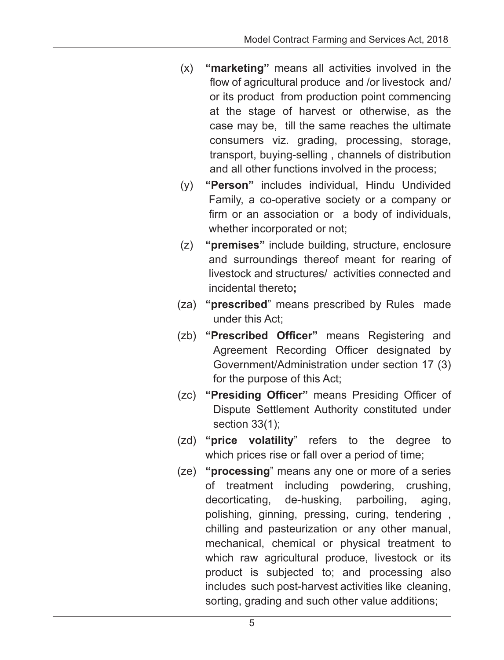- (x) **"marketing"** means all activities involved in the flow of agricultural produce and /or livestock and/ or its product from production point commencing at the stage of harvest or otherwise, as the case may be, till the same reaches the ultimate consumers viz. grading, processing, storage, transport, buying-selling , channels of distribution and all other functions involved in the process;
- (y) **"Person"** includes individual, Hindu Undivided Family, a co-operative society or a company or firm or an association or a body of individuals, whether incorporated or not;
- (z) **"premises"** include building, structure, enclosure and surroundings thereof meant for rearing of livestock and structures/ activities connected and incidental thereto**;**
- (za) **"prescribed**" means prescribed by Rules made under this Act;
- (zb) **"Prescribed Officer"** means Registering and Agreement Recording Officer designated by Government/Administration under section 17 (3) for the purpose of this Act;
- (zc) **"Presiding Officer"** means Presiding Officer of Dispute Settlement Authority constituted under section 33(1);
- (zd) **"price volatility**" refers to the degree to which prices rise or fall over a period of time;
- (ze) **"processing**" means any one or more of a series of treatment including powdering, crushing, decorticating, de-husking, parboiling, aging, polishing, ginning, pressing, curing, tendering , chilling and pasteurization or any other manual, mechanical, chemical or physical treatment to which raw agricultural produce, livestock or its product is subjected to; and processing also includes such post-harvest activities like cleaning, sorting, grading and such other value additions;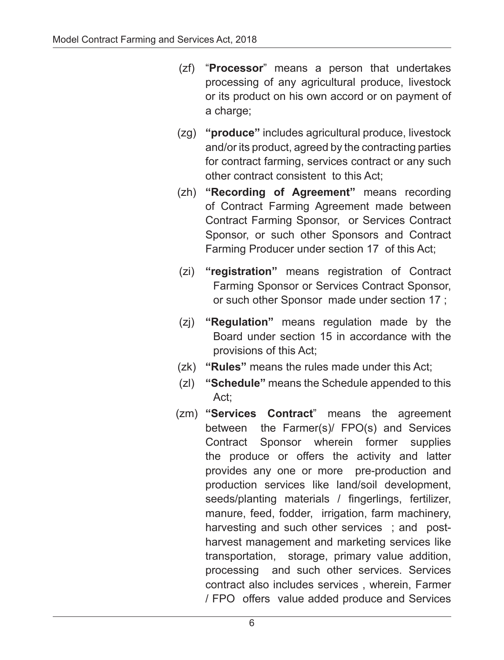- (zf) "**Processor**" means a person that undertakes processing of any agricultural produce, livestock or its product on his own accord or on payment of a charge;
- (zg) **"produce"** includes agricultural produce, livestock and/or its product, agreed by the contracting parties for contract farming, services contract or any such other contract consistent to this Act;
- (zh) **"Recording of Agreement"** means recording of Contract Farming Agreement made between Contract Farming Sponsor, or Services Contract Sponsor, or such other Sponsors and Contract Farming Producer under section 17 of this Act;
- (zi) **"registration"** means registration of Contract Farming Sponsor or Services Contract Sponsor, or such other Sponsor made under section 17 ;
- (zj) **"Regulation"** means regulation made by the Board under section 15 in accordance with the provisions of this Act;
- (zk) **"Rules"** means the rules made under this Act;
- (zl) **"Schedule"** means the Schedule appended to this Act;
- (zm) **"Services Contract**" means the agreement between the Farmer(s)/ FPO(s) and Services Contract Sponsor wherein former supplies the produce or offers the activity and latter provides any one or more pre-production and production services like land/soil development, seeds/planting materials / fingerlings, fertilizer, manure, feed, fodder, irrigation, farm machinery, harvesting and such other services ; and postharvest management and marketing services like transportation, storage, primary value addition, processing and such other services. Services contract also includes services , wherein, Farmer / FPO offers value added produce and Services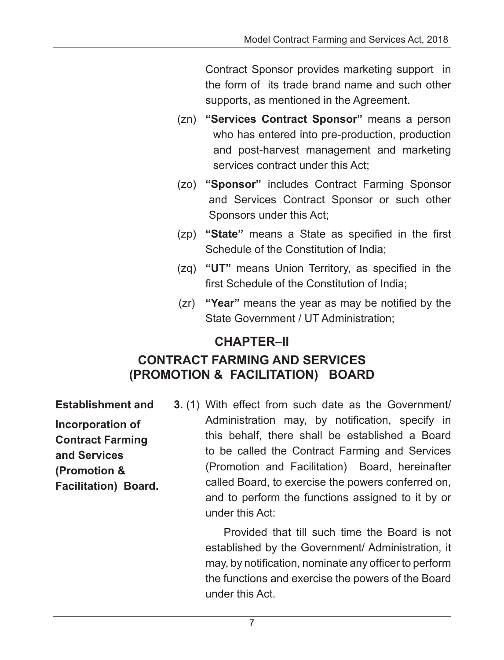Contract Sponsor provides marketing support in the form of its trade brand name and such other supports, as mentioned in the Agreement.

- (zn) **"Services Contract Sponsor"** means a person who has entered into pre-production, production and post-harvest management and marketing services contract under this Act;
- (zo) **"Sponsor"** includes Contract Farming Sponsor and Services Contract Sponsor or such other Sponsors under this Act;
- (zp) **"State"** means a State as specified in the first Schedule of the Constitution of India;
- (zq) **"UT"** means Union Territory, as specified in the first Schedule of the Constitution of India;
- (zr) **"Year"** means the year as may be notified by the State Government / UT Administration;

#### **CHAPTER–II**

#### **CONTRACT FARMING AND SERVICES (PROMOTION & FACILITATION) BOARD**

**Establishment and Incorporation of Contract Farming and Services (Promotion & Facilitation) Board.** 

**3.** (1) With effect from such date as the Government/ Administration may, by notification, specify in this behalf, there shall be established a Board to be called the Contract Farming and Services (Promotion and Facilitation) Board, hereinafter called Board, to exercise the powers conferred on, and to perform the functions assigned to it by or under this Act:

> Provided that till such time the Board is not established by the Government/ Administration, it may, by notification, nominate any officer to perform the functions and exercise the powers of the Board under this Act.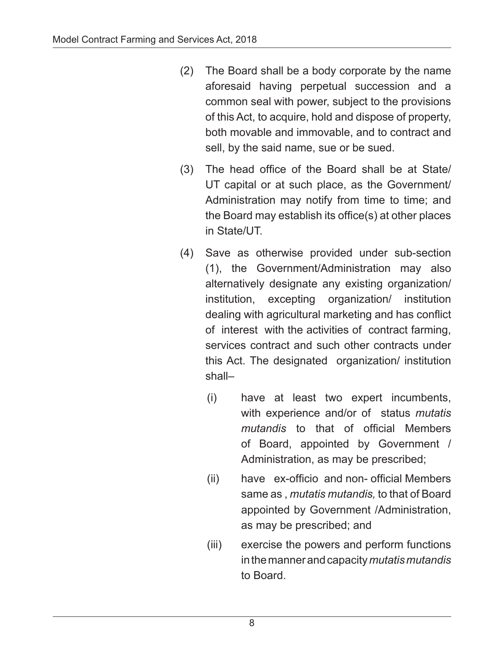- (2) The Board shall be a body corporate by the name aforesaid having perpetual succession and a common seal with power, subject to the provisions of this Act, to acquire, hold and dispose of property, both movable and immovable, and to contract and sell, by the said name, sue or be sued.
- (3) The head office of the Board shall be at State/ UT capital or at such place, as the Government/ Administration may notify from time to time; and the Board may establish its office(s) at other places in State/UT.
- (4) Save as otherwise provided under sub-section (1), the Government/Administration may also alternatively designate any existing organization/ institution, excepting organization/ institution dealing with agricultural marketing and has conflict of interest with the activities of contract farming, services contract and such other contracts under this Act. The designated organization/ institution shall–
	- (i) have at least two expert incumbents, with experience and/or of status *mutatis mutandis* to that of official Members of Board, appointed by Government / Administration, as may be prescribed;
	- (ii) have ex-officio and non- official Members same as , *mutatis mutandis,* to that of Board appointed by Government /Administration, as may be prescribed; and
	- (iii) exercise the powers and perform functions in the manner and capacity *mutatis mutandis* to Board.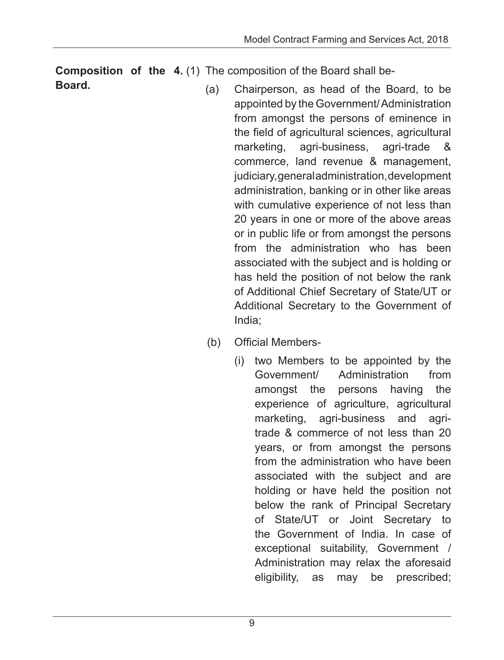**Composition of the 4.** (1) The composition of the Board shall be-**Board.**

- (a) Chairperson, as head of the Board, to be appointed by the Government/ Administration from amongst the persons of eminence in the field of agricultural sciences, agricultural marketing, agri-business, agri-trade & commerce, land revenue & management, judiciary, general administration, development administration, banking or in other like areas with cumulative experience of not less than 20 years in one or more of the above areas or in public life or from amongst the persons from the administration who has been associated with the subject and is holding or has held the position of not below the rank of Additional Chief Secretary of State/UT or Additional Secretary to the Government of India;
- (b) Official Members-
	- (i) two Members to be appointed by the Government/ Administration from amongst the persons having the experience of agriculture, agricultural marketing, agri-business and agritrade & commerce of not less than 20 years, or from amongst the persons from the administration who have been associated with the subject and are holding or have held the position not below the rank of Principal Secretary of State/UT or Joint Secretary to the Government of India. In case of exceptional suitability, Government / Administration may relax the aforesaid eligibility, as may be prescribed;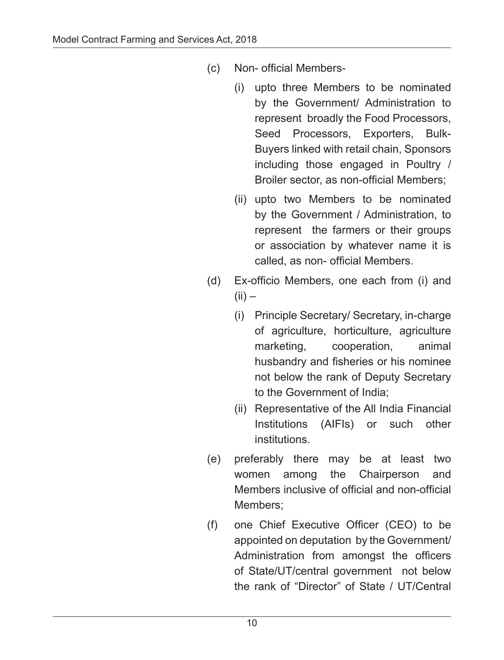- (c) Non- official Members-
	- (i) upto three Members to be nominated by the Government/ Administration to represent broadly the Food Processors, Seed Processors, Exporters, Bulk-Buyers linked with retail chain, Sponsors including those engaged in Poultry / Broiler sector, as non-official Members;
	- (ii) upto two Members to be nominated by the Government / Administration, to represent the farmers or their groups or association by whatever name it is called, as non- official Members.
- (d) Ex-officio Members, one each from (i) and  $(ii)$  –
	- (i) Principle Secretary/ Secretary, in-charge of agriculture, horticulture, agriculture marketing, cooperation, animal husbandry and fisheries or his nominee not below the rank of Deputy Secretary to the Government of India;
	- (ii) Representative of the All India Financial Institutions (AIFIs) or such other institutions.
- (e) preferably there may be at least two women among the Chairperson and Members inclusive of official and non-official Members;
- (f) one Chief Executive Officer (CEO) to be appointed on deputation by the Government/ Administration from amongst the officers of State/UT/central government not below the rank of "Director" of State / UT/Central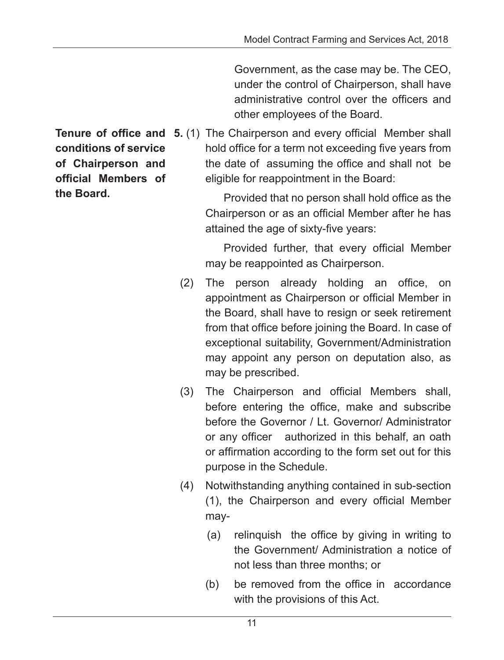Government, as the case may be. The CEO, under the control of Chairperson, shall have administrative control over the officers and other employees of the Board.

**Tenure of office and 5.** (1) The Chairperson and every official Member shall hold office for a term not exceeding five years from the date of assuming the office and shall not be eligible for reappointment in the Board:

> Provided that no person shall hold office as the Chairperson or as an official Member after he has attained the age of sixty-five years:

> Provided further, that every official Member may be reappointed as Chairperson.

- (2) The person already holding an office, on appointment as Chairperson or official Member in the Board, shall have to resign or seek retirement from that office before joining the Board. In case of exceptional suitability, Government/Administration may appoint any person on deputation also, as may be prescribed.
- (3) The Chairperson and official Members shall, before entering the office, make and subscribe before the Governor / Lt. Governor/ Administrator or any officer authorized in this behalf, an oath or affirmation according to the form set out for this purpose in the Schedule.
- (4) Notwithstanding anything contained in sub-section (1), the Chairperson and every official Member may-
	- (a) relinquish the office by giving in writing to the Government/ Administration a notice of not less than three months; or
	- (b) be removed from the office in accordance with the provisions of this Act.

**conditions of service of Chairperson and official Members of the Board.**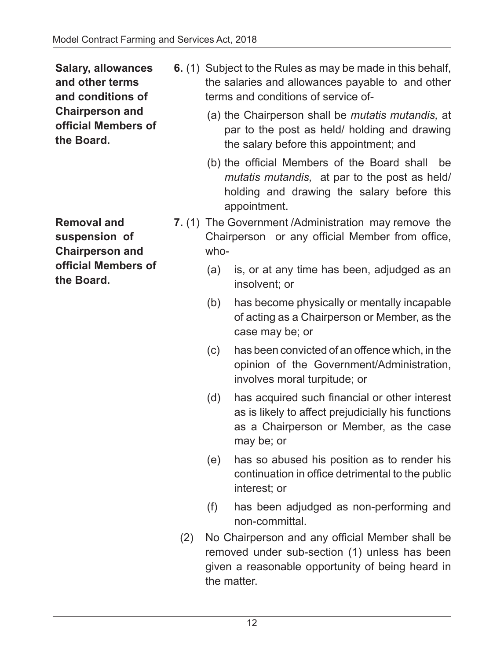**Salary, allowances and other terms and conditions of Chairperson and official Members of the Board.**

**Removal and suspension of Chairperson and official Members of the Board.**

- **6.** (1) Subject to the Rules as may be made in this behalf, the salaries and allowances payable to and other terms and conditions of service of-
	- (a) the Chairperson shall be *mutatis mutandis,* at par to the post as held/ holding and drawing the salary before this appointment; and
	- (b) the official Members of the Board shall be *mutatis mutandis,* at par to the post as held/ holding and drawing the salary before this appointment.
- **7.** (1) The Government /Administration may remove the Chairperson or any official Member from office, who-
	- (a) is, or at any time has been, adjudged as an insolvent; or
	- (b) has become physically or mentally incapable of acting as a Chairperson or Member, as the case may be; or
	- (c) has been convicted of an offence which, in the opinion of the Government/Administration, involves moral turpitude; or
	- (d) has acquired such financial or other interest as is likely to affect prejudicially his functions as a Chairperson or Member, as the case may be; or
	- (e) has so abused his position as to render his continuation in office detrimental to the public interest; or
	- (f) has been adjudged as non-performing and non-committal.
	- (2) No Chairperson and any official Member shall be removed under sub-section (1) unless has been given a reasonable opportunity of being heard in the matter.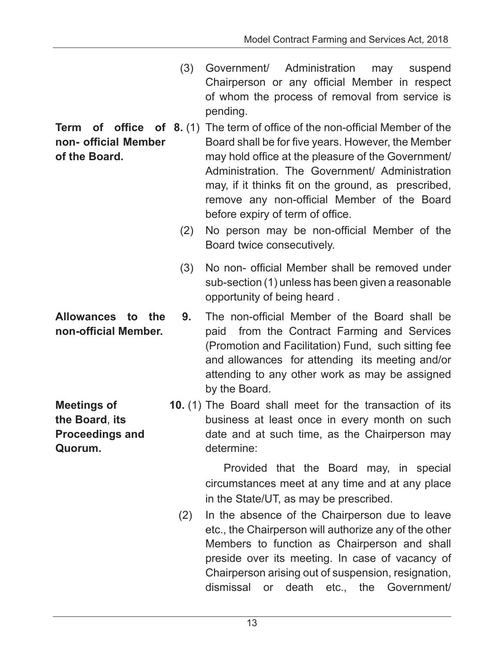- (3) Government/ Administration may suspend Chairperson or any official Member in respect of whom the process of removal from service is pending.
- **Term of office of 8.** (1) The term of office of the non-official Member of the **non- official Member of the Board.** Board shall be for five years. However, the Member may hold office at the pleasure of the Government/ Administration. The Government/ Administration may, if it thinks fit on the ground, as prescribed, remove any non-official Member of the Board before expiry of term of office.
	- (2) No person may be non-official Member of the Board twice consecutively.
	- (3) No non- official Member shall be removed under sub-section (1) unless has been given a reasonable opportunity of being heard .
- **Allowances to the non-official Member. 9.** The non-official Member of the Board shall be paid from the Contract Farming and Services (Promotion and Facilitation) Fund, such sitting fee and allowances for attending its meeting and/or attending to any other work as may be assigned by the Board.
	- **10.** (1) The Board shall meet for the transaction of its business at least once in every month on such date and at such time, as the Chairperson may determine:

Provided that the Board may, in special circumstances meet at any time and at any place in the State/UT, as may be prescribed.

(2) In the absence of the Chairperson due to leave etc., the Chairperson will authorize any of the other Members to function as Chairperson and shall preside over its meeting. In case of vacancy of Chairperson arising out of suspension, resignation, dismissal or death etc., the Government/

**Meetings of the Board**, **its Proceedings and Quorum.**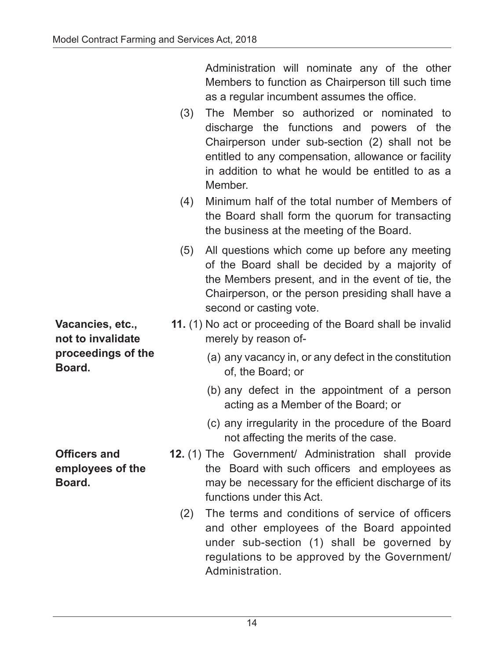| Administration will nominate any of the other     |  |  |  |
|---------------------------------------------------|--|--|--|
| Members to function as Chairperson till such time |  |  |  |
| as a regular incumbent assumes the office.        |  |  |  |

- (3) The Member so authorized or nominated to discharge the functions and powers of the Chairperson under sub-section (2) shall not be entitled to any compensation, allowance or facility in addition to what he would be entitled to as a Member.
- (4) Minimum half of the total number of Members of the Board shall form the quorum for transacting the business at the meeting of the Board.
- (5) All questions which come up before any meeting of the Board shall be decided by a majority of the Members present, and in the event of tie, the Chairperson, or the person presiding shall have a second or casting vote.
- **11.** (1) No act or proceeding of the Board shall be invalid merely by reason of-
	- (a) any vacancy in, or any defect in the constitution of, the Board; or
	- (b) any defect in the appointment of a person acting as a Member of the Board; or
	- (c) any irregularity in the procedure of the Board not affecting the merits of the case.
- **12.** (1) The Government/ Administration shall provide the Board with such officers and employees as may be necessary for the efficient discharge of its functions under this Act.
	- (2) The terms and conditions of service of officers and other employees of the Board appointed under sub-section (1) shall be governed by regulations to be approved by the Government/ Administration.

**Vacancies, etc., not to invalidate proceedings of the Board.**

**Officers and employees of the Board.**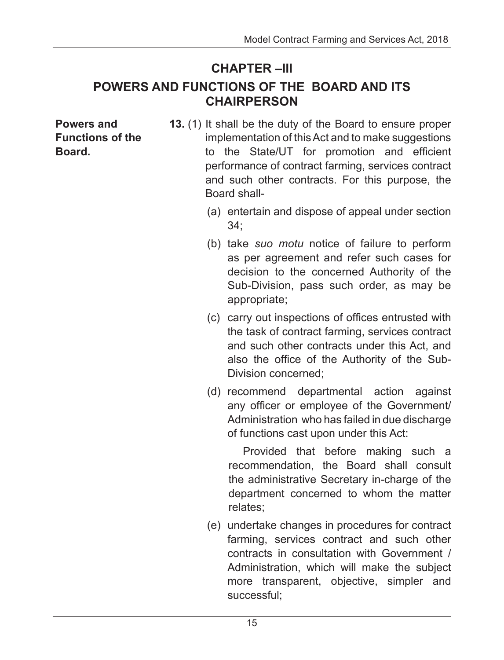### **CHAPTER –III**

#### **POWERS AND FUNCTIONS OF THE BOARD AND ITS CHAIRPERSON**

**Powers and Functions of the Board.** 

- **13.** (1) It shall be the duty of the Board to ensure proper implementation of this Act and to make suggestions to the State/UT for promotion and efficient performance of contract farming, services contract and such other contracts. For this purpose, the Board shall-
	- (a) entertain and dispose of appeal under section 34;
	- (b) take *suo motu* notice of failure to perform as per agreement and refer such cases for decision to the concerned Authority of the Sub-Division, pass such order, as may be appropriate;
	- (c) carry out inspections of offices entrusted with the task of contract farming, services contract and such other contracts under this Act, and also the office of the Authority of the Sub-Division concerned;
	- (d) recommend departmental action against any officer or employee of the Government/ Administration who has failed in due discharge of functions cast upon under this Act:

Provided that before making such a recommendation, the Board shall consult the administrative Secretary in-charge of the department concerned to whom the matter relates;

(e) undertake changes in procedures for contract farming, services contract and such other contracts in consultation with Government / Administration, which will make the subject more transparent, objective, simpler and successful;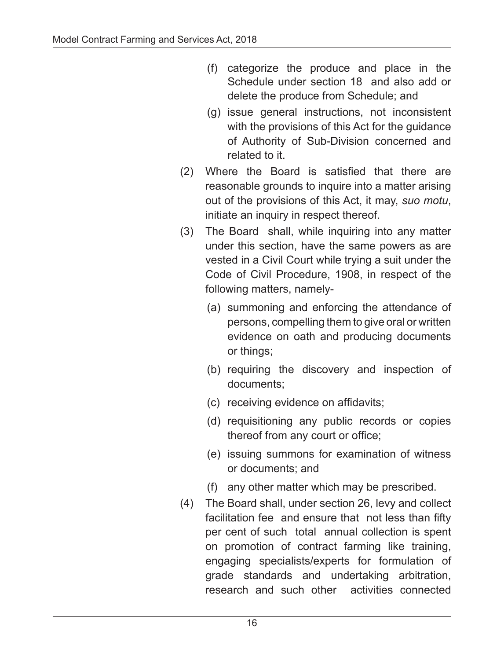- (f) categorize the produce and place in the Schedule under section 18 and also add or delete the produce from Schedule; and
- (g) issue general instructions, not inconsistent with the provisions of this Act for the guidance of Authority of Sub-Division concerned and related to it.
- (2) Where the Board is satisfied that there are reasonable grounds to inquire into a matter arising out of the provisions of this Act, it may, *suo motu*, initiate an inquiry in respect thereof.
- (3) The Board shall, while inquiring into any matter under this section, have the same powers as are vested in a Civil Court while trying a suit under the Code of Civil Procedure, 1908, in respect of the following matters, namely-
	- (a) summoning and enforcing the attendance of persons, compelling them to give oral or written evidence on oath and producing documents or things;
	- (b) requiring the discovery and inspection of documents;
	- (c) receiving evidence on affidavits;
	- (d) requisitioning any public records or copies thereof from any court or office;
	- (e) issuing summons for examination of witness or documents; and
	- (f) any other matter which may be prescribed.
- (4) The Board shall, under section 26, levy and collect facilitation fee and ensure that not less than fifty per cent of such total annual collection is spent on promotion of contract farming like training, engaging specialists/experts for formulation of grade standards and undertaking arbitration, research and such other activities connected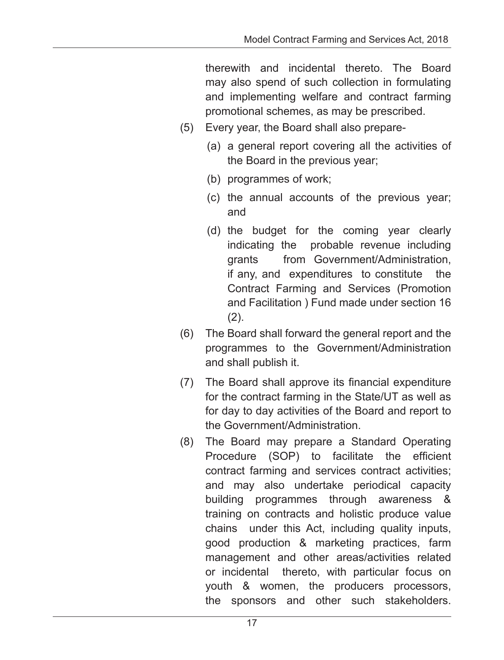therewith and incidental thereto. The Board may also spend of such collection in formulating and implementing welfare and contract farming promotional schemes, as may be prescribed.

- (5) Every year, the Board shall also prepare-
	- (a) a general report covering all the activities of the Board in the previous year;
	- (b) programmes of work;
	- (c) the annual accounts of the previous year; and
	- (d) the budget for the coming year clearly indicating the probable revenue including grants from Government/Administration, if any, and expenditures to constitute the Contract Farming and Services (Promotion and Facilitation ) Fund made under section 16  $(2)$ .
- (6) The Board shall forward the general report and the programmes to the Government/Administration and shall publish it.
- (7) The Board shall approve its financial expenditure for the contract farming in the State/UT as well as for day to day activities of the Board and report to the Government/Administration.
- (8) The Board may prepare a Standard Operating Procedure (SOP) to facilitate the efficient contract farming and services contract activities; and may also undertake periodical capacity building programmes through awareness & training on contracts and holistic produce value chains under this Act, including quality inputs, good production & marketing practices, farm management and other areas/activities related or incidental thereto, with particular focus on youth & women, the producers processors, the sponsors and other such stakeholders.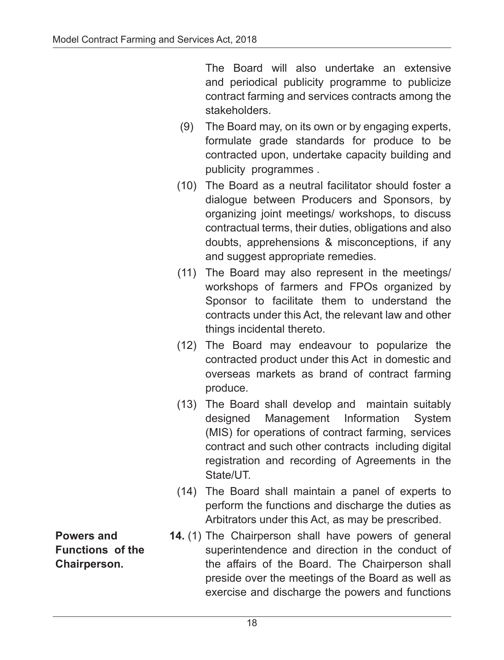The Board will also undertake an extensive and periodical publicity programme to publicize contract farming and services contracts among the stakeholders.

- (9) The Board may, on its own or by engaging experts, formulate grade standards for produce to be contracted upon, undertake capacity building and publicity programmes .
- (10) The Board as a neutral facilitator should foster a dialogue between Producers and Sponsors, by organizing joint meetings/ workshops, to discuss contractual terms, their duties, obligations and also doubts, apprehensions & misconceptions, if any and suggest appropriate remedies.
- (11) The Board may also represent in the meetings/ workshops of farmers and FPOs organized by Sponsor to facilitate them to understand the contracts under this Act, the relevant law and other things incidental thereto.
- (12) The Board may endeavour to popularize the contracted product under this Act in domestic and overseas markets as brand of contract farming produce.
- (13) The Board shall develop and maintain suitably designed Management Information System (MIS) for operations of contract farming, services contract and such other contracts including digital registration and recording of Agreements in the State/UT.
- (14) The Board shall maintain a panel of experts to perform the functions and discharge the duties as Arbitrators under this Act, as may be prescribed.
- **14.** (1) The Chairperson shall have powers of general superintendence and direction in the conduct of the affairs of the Board. The Chairperson shall preside over the meetings of the Board as well as exercise and discharge the powers and functions

**Powers and Functions of the Chairperson.**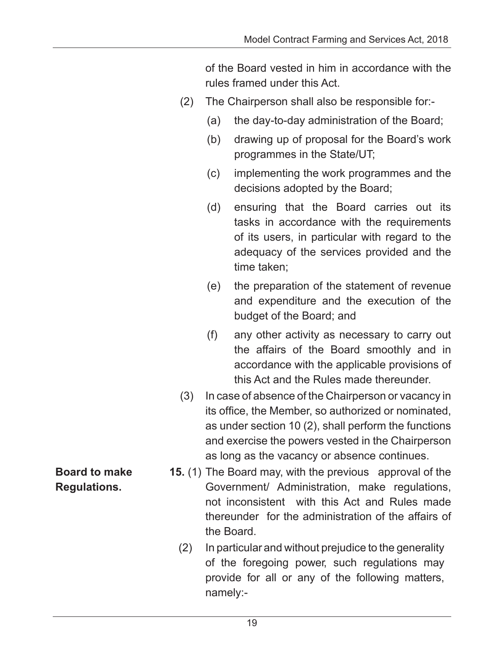of the Board vested in him in accordance with the rules framed under this Act.

- (2) The Chairperson shall also be responsible for:-
	- (a) the day-to-day administration of the Board;
	- (b) drawing up of proposal for the Board's work programmes in the State/UT;
	- (c) implementing the work programmes and the decisions adopted by the Board;
	- (d) ensuring that the Board carries out its tasks in accordance with the requirements of its users, in particular with regard to the adequacy of the services provided and the time taken;
	- (e) the preparation of the statement of revenue and expenditure and the execution of the budget of the Board; and
	- (f) any other activity as necessary to carry out the affairs of the Board smoothly and in accordance with the applicable provisions of this Act and the Rules made thereunder.
- (3) In case of absence of the Chairperson or vacancy in its office, the Member, so authorized or nominated, as under section 10 (2), shall perform the functions and exercise the powers vested in the Chairperson as long as the vacancy or absence continues.
- **15.** (1) The Board may, with the previous approval of the Government/ Administration, make regulations, not inconsistent with this Act and Rules made thereunder for the administration of the affairs of the Board.
	- (2) In particular and without prejudice to the generality of the foregoing power, such regulations may provide for all or any of the following matters, namely:-

**Board to make Regulations.**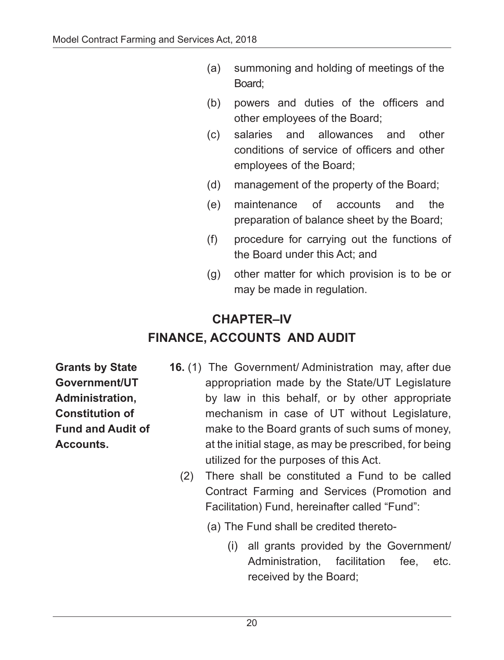- (a) summoning and holding of meetings of the Board;
- (b) powers and duties of the officers and other employees of the Board;
- (c) salaries and allowances and other conditions of service of officers and other employees of the Board;
- (d) management of the property of the Board;
- (e) maintenance of accounts and the preparation of balance sheet by the Board;
- (f) procedure for carrying out the functions of the Board under this Act; and
- (g) other matter for which provision is to be or may be made in regulation.

# **CHAPTER–IV FINANCE, ACCOUNTS AND AUDIT**

**Grants by State Government/UT Administration, Constitution of Fund and Audit of Accounts.** 

- **16.** (1) The Government/ Administration may, after due appropriation made by the State/UT Legislature by law in this behalf, or by other appropriate mechanism in case of UT without Legislature, make to the Board grants of such sums of money, at the initial stage, as may be prescribed, for being utilized for the purposes of this Act.
	- (2) There shall be constituted a Fund to be called Contract Farming and Services (Promotion and Facilitation) Fund, hereinafter called "Fund":
		- (a) The Fund shall be credited thereto-
			- (i) all grants provided by the Government/ Administration, facilitation fee, etc. received by the Board;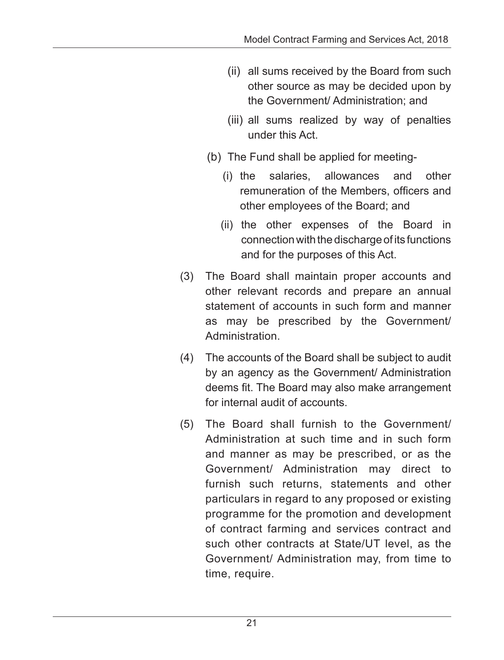- (ii) all sums received by the Board from such other source as may be decided upon by the Government/ Administration; and
- (iii) all sums realized by way of penalties under this Act.
- (b) The Fund shall be applied for meeting-
	- (i) the salaries, allowances and other remuneration of the Members, officers and other employees of the Board; and
	- (ii) the other expenses of the Board in connection with the discharge of its functions and for the purposes of this Act.
- (3) The Board shall maintain proper accounts and other relevant records and prepare an annual statement of accounts in such form and manner as may be prescribed by the Government/ Administration.
- (4) The accounts of the Board shall be subject to audit by an agency as the Government/ Administration deems fit. The Board may also make arrangement for internal audit of accounts.
- (5) The Board shall furnish to the Government/ Administration at such time and in such form and manner as may be prescribed, or as the Government/ Administration may direct to furnish such returns, statements and other particulars in regard to any proposed or existing programme for the promotion and development of contract farming and services contract and such other contracts at State/UT level, as the Government/ Administration may, from time to time, require.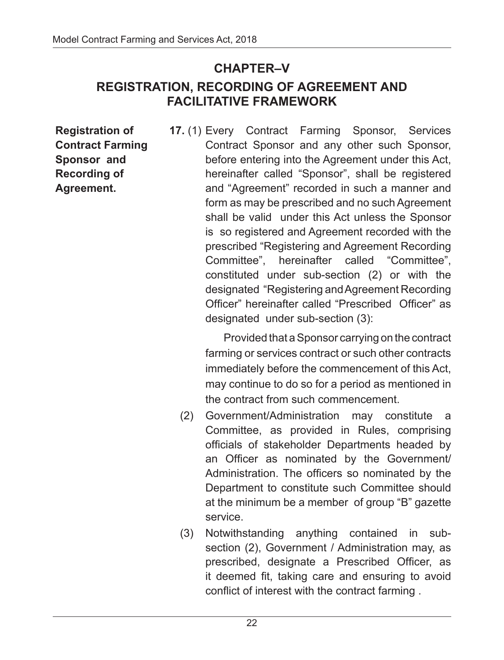### **CHAPTER–V**

### **REGISTRATION, RECORDING OF AGREEMENT AND FACILITATIVE FRAMEWORK**

**Registration of Contract Farming Sponsor and Recording of Agreement.**

**17.** (1) Every Contract Farming Sponsor, Services Contract Sponsor and any other such Sponsor, before entering into the Agreement under this Act, hereinafter called "Sponsor", shall be registered and "Agreement" recorded in such a manner and form as may be prescribed and no such Agreement shall be valid under this Act unless the Sponsor is so registered and Agreement recorded with the prescribed "Registering and Agreement Recording Committee", hereinafter called "Committee", constituted under sub-section (2) or with the designated "Registering and Agreement Recording Officer" hereinafter called "Prescribed Officer" as designated under sub-section (3):

> Provided that a Sponsor carrying on the contract farming or services contract or such other contracts immediately before the commencement of this Act, may continue to do so for a period as mentioned in the contract from such commencement.

- (2) Government/Administration may constitute a Committee, as provided in Rules, comprising officials of stakeholder Departments headed by an Officer as nominated by the Government/ Administration. The officers so nominated by the Department to constitute such Committee should at the minimum be a member of group "B" gazette service.
- (3) Notwithstanding anything contained in subsection (2), Government / Administration may, as prescribed, designate a Prescribed Officer, as it deemed fit, taking care and ensuring to avoid conflict of interest with the contract farming .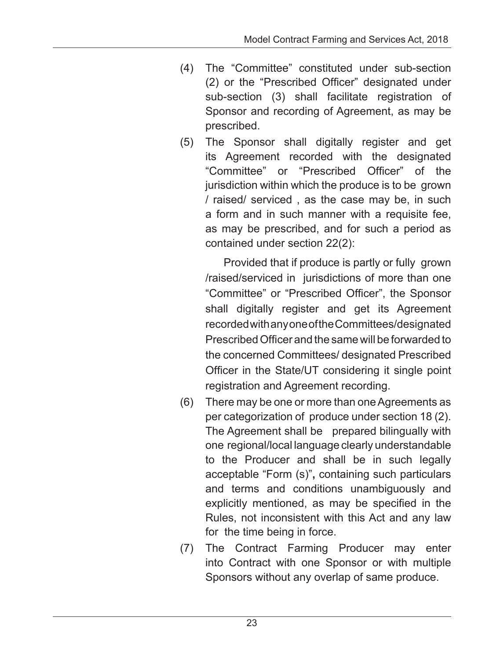- (4) The "Committee" constituted under sub-section (2) or the "Prescribed Officer" designated under sub-section (3) shall facilitate registration of Sponsor and recording of Agreement, as may be prescribed.
- (5) The Sponsor shall digitally register and get its Agreement recorded with the designated "Committee" or "Prescribed Officer" of the jurisdiction within which the produce is to be grown / raised/ serviced , as the case may be, in such a form and in such manner with a requisite fee, as may be prescribed, and for such a period as contained under section 22(2):

Provided that if produce is partly or fully grown /raised/serviced in jurisdictions of more than one "Committee" or "Prescribed Officer", the Sponsor shall digitally register and get its Agreement recorded with any one of the Committees/designated Prescribed Officer and the same will be forwarded to the concerned Committees/ designated Prescribed Officer in the State/UT considering it single point registration and Agreement recording.

- (6) There may be one or more than one Agreements as per categorization of produce under section 18 (2). The Agreement shall be prepared bilingually with one regional/local language clearly understandable to the Producer and shall be in such legally acceptable "Form (s)"**,** containing such particulars and terms and conditions unambiguously and explicitly mentioned, as may be specified in the Rules, not inconsistent with this Act and any law for the time being in force.
- (7) The Contract Farming Producer may enter into Contract with one Sponsor or with multiple Sponsors without any overlap of same produce.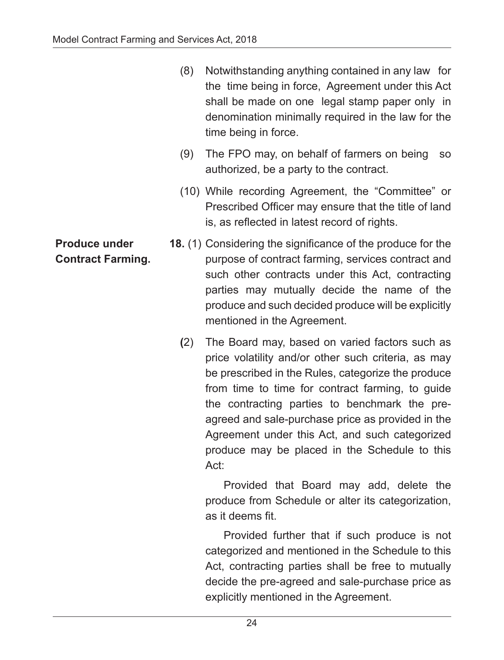| (8) | Notwithstanding anything contained in any law for  |
|-----|----------------------------------------------------|
|     | the time being in force, Agreement under this Act  |
|     | shall be made on one legal stamp paper only in     |
|     | denomination minimally required in the law for the |
|     | time being in force.                               |

- (9) The FPO may, on behalf of farmers on being so authorized, be a party to the contract.
- (10) While recording Agreement, the "Committee" or Prescribed Officer may ensure that the title of land is, as reflected in latest record of rights.
- **18.** (1) Considering the significance of the produce for the purpose of contract farming, services contract and such other contracts under this Act, contracting parties may mutually decide the name of the produce and such decided produce will be explicitly mentioned in the Agreement.
	- **(**2) The Board may, based on varied factors such as price volatility and/or other such criteria, as may be prescribed in the Rules, categorize the produce from time to time for contract farming, to guide the contracting parties to benchmark the preagreed and sale-purchase price as provided in the Agreement under this Act, and such categorized produce may be placed in the Schedule to this Act:

Provided that Board may add, delete the produce from Schedule or alter its categorization, as it deems fit.

Provided further that if such produce is not categorized and mentioned in the Schedule to this Act, contracting parties shall be free to mutually decide the pre-agreed and sale-purchase price as explicitly mentioned in the Agreement.

**Produce under Contract Farming.**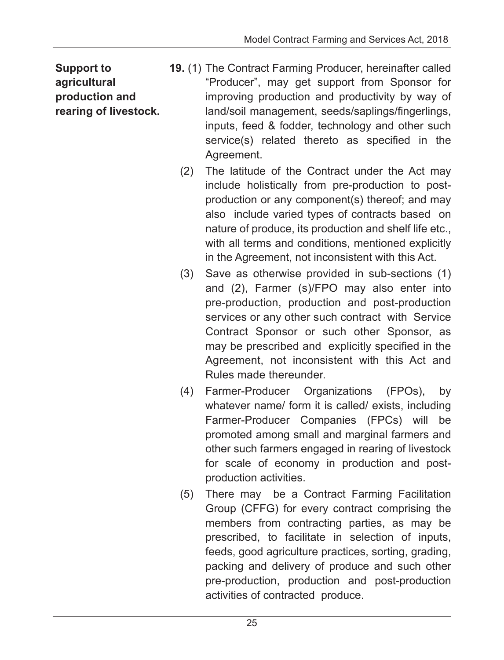**Support to agricultural production and rearing of livestock.** 

- **19.** (1) The Contract Farming Producer, hereinafter called "Producer", may get support from Sponsor for improving production and productivity by way of land/soil management, seeds/saplings/fingerlings, inputs, feed & fodder, technology and other such service(s) related thereto as specified in the Agreement.
	- (2) The latitude of the Contract under the Act may include holistically from pre-production to postproduction or any component(s) thereof; and may also include varied types of contracts based on nature of produce, its production and shelf life etc., with all terms and conditions, mentioned explicitly in the Agreement, not inconsistent with this Act.
	- (3) Save as otherwise provided in sub-sections (1) and (2), Farmer (s)/FPO may also enter into pre-production, production and post-production services or any other such contract with Service Contract Sponsor or such other Sponsor, as may be prescribed and explicitly specified in the Agreement, not inconsistent with this Act and Rules made thereunder.
	- (4) Farmer-Producer Organizations (FPOs), by whatever name/ form it is called/ exists, including Farmer-Producer Companies (FPCs) will be promoted among small and marginal farmers and other such farmers engaged in rearing of livestock for scale of economy in production and postproduction activities.
	- (5) There may be a Contract Farming Facilitation Group (CFFG) for every contract comprising the members from contracting parties, as may be prescribed, to facilitate in selection of inputs, feeds, good agriculture practices, sorting, grading, packing and delivery of produce and such other pre-production, production and post-production activities of contracted produce.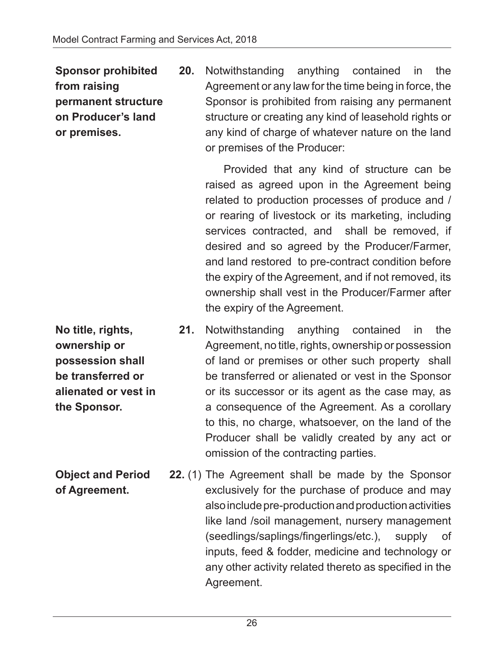**Sponsor prohibited from raising permanent structure on Producer's land or premises.**

**20.** Notwithstanding anything contained in the Agreement or any law for the time being in force, the Sponsor is prohibited from raising any permanent structure or creating any kind of leasehold rights or any kind of charge of whatever nature on the land or premises of the Producer:

Provided that any kind of structure can be raised as agreed upon in the Agreement being related to production processes of produce and / or rearing of livestock or its marketing, including services contracted, and shall be removed, if desired and so agreed by the Producer/Farmer, and land restored to pre-contract condition before the expiry of the Agreement, and if not removed, its ownership shall vest in the Producer/Farmer after the expiry of the Agreement.

- **21.** Notwithstanding anything contained in the Agreement, no title, rights, ownership or possession of land or premises or other such property shall be transferred or alienated or vest in the Sponsor or its successor or its agent as the case may, as a consequence of the Agreement. As a corollary to this, no charge, whatsoever, on the land of the Producer shall be validly created by any act or omission of the contracting parties.
- **Object and Period of Agreement. 22.** (1) The Agreement shall be made by the Sponsor exclusively for the purchase of produce and may also include pre-production and production activities like land /soil management, nursery management (seedlings/saplings/fingerlings/etc.), supply of inputs, feed & fodder, medicine and technology or any other activity related thereto as specified in the Agreement.

26

**No title, rights, ownership or possession shall be transferred or alienated or vest in the Sponsor.**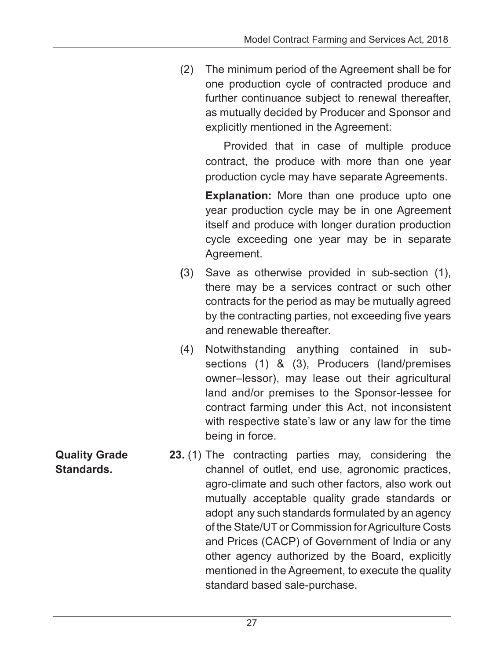(2) The minimum period of the Agreement shall be for one production cycle of contracted produce and further continuance subject to renewal thereafter, as mutually decided by Producer and Sponsor and explicitly mentioned in the Agreement:

Provided that in case of multiple produce contract, the produce with more than one year production cycle may have separate Agreements.

**Explanation:** More than one produce upto one year production cycle may be in one Agreement itself and produce with longer duration production cycle exceeding one year may be in separate Agreement.

- **(**3) Save as otherwise provided in sub-section (1), there may be a services contract or such other contracts for the period as may be mutually agreed by the contracting parties, not exceeding five years and renewable thereafter.
- (4) Notwithstanding anything contained in subsections (1) & (3), Producers (land/premises owner–lessor), may lease out their agricultural land and/or premises to the Sponsor-lessee for contract farming under this Act, not inconsistent with respective state's law or any law for the time being in force.
- **23.** (1) The contracting parties may, considering the channel of outlet, end use, agronomic practices, agro-climate and such other factors, also work out mutually acceptable quality grade standards or adopt any such standards formulated by an agency of the State/UT or Commission for Agriculture Costs and Prices (CACP) of Government of India or any other agency authorized by the Board, explicitly mentioned in the Agreement, to execute the quality standard based sale-purchase.

**Quality Grade Standards.**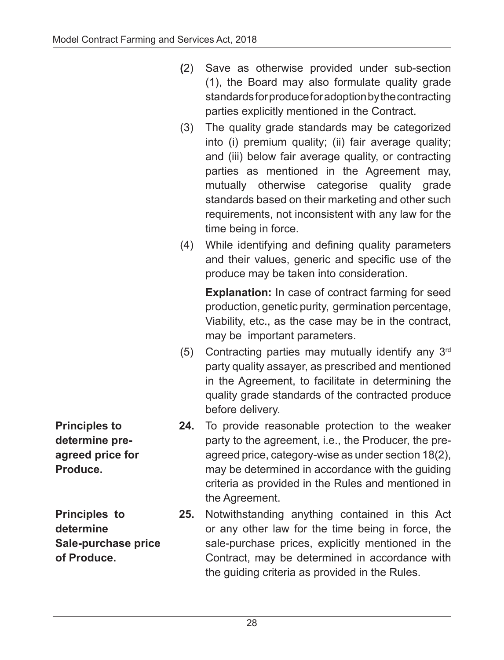- **(**2) Save as otherwise provided under sub-section (1), the Board may also formulate quality grade standards for produce for adoption by the contracting parties explicitly mentioned in the Contract.
- (3) The quality grade standards may be categorized into (i) premium quality; (ii) fair average quality; and (iii) below fair average quality, or contracting parties as mentioned in the Agreement may, mutually otherwise categorise quality grade standards based on their marketing and other such requirements, not inconsistent with any law for the time being in force.
- (4) While identifying and defining quality parameters and their values, generic and specific use of the produce may be taken into consideration.

**Explanation:** In case of contract farming for seed production, genetic purity, germination percentage, Viability, etc., as the case may be in the contract, may be important parameters.

- (5) Contracting parties may mutually identify any 3rd party quality assayer, as prescribed and mentioned in the Agreement, to facilitate in determining the quality grade standards of the contracted produce before delivery.
- **24.** To provide reasonable protection to the weaker party to the agreement, i.e., the Producer, the preagreed price, category-wise as under section 18(2), may be determined in accordance with the guiding criteria as provided in the Rules and mentioned in the Agreement.
- **25.** Notwithstanding anything contained in this Act or any other law for the time being in force, the sale-purchase prices, explicitly mentioned in the Contract, may be determined in accordance with the guiding criteria as provided in the Rules.

**Principles to determine preagreed price for Produce.**

**Principles to determine Sale-purchase price of Produce.**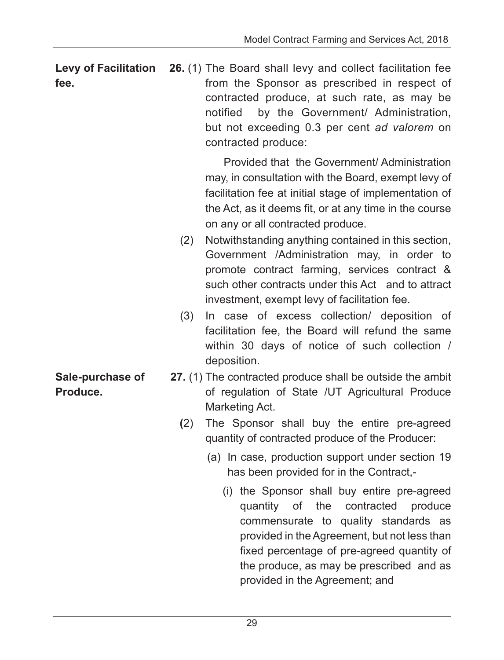**Levy of Facilitation fee. 26.** (1) The Board shall levy and collect facilitation fee from the Sponsor as prescribed in respect of contracted produce, at such rate, as may be notified by the Government/ Administration, but not exceeding 0.3 per cent *ad valorem* on contracted produce:

> Provided that the Government/ Administration may, in consultation with the Board, exempt levy of facilitation fee at initial stage of implementation of the Act, as it deems fit, or at any time in the course on any or all contracted produce.

- (2) Notwithstanding anything contained in this section, Government /Administration may, in order to promote contract farming, services contract & such other contracts under this Act and to attract investment, exempt levy of facilitation fee.
- (3) In case of excess collection/ deposition of facilitation fee, the Board will refund the same within 30 days of notice of such collection / deposition.
- **27.** (1) The contracted produce shall be outside the ambit of regulation of State /UT Agricultural Produce Marketing Act.
	- **(**2) The Sponsor shall buy the entire pre-agreed quantity of contracted produce of the Producer:
		- (a) In case, production support under section 19 has been provided for in the Contract,-
			- (i) the Sponsor shall buy entire pre-agreed quantity of the contracted produce commensurate to quality standards as provided in the Agreement, but not less than fixed percentage of pre-agreed quantity of the produce, as may be prescribed and as provided in the Agreement; and

**Sale-purchase of Produce.**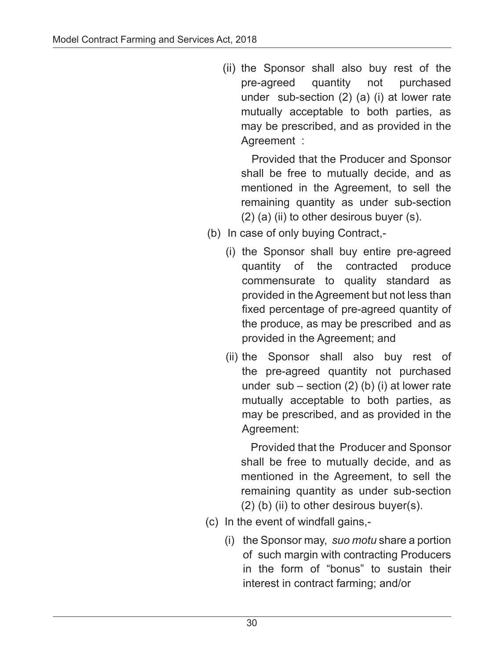(ii) the Sponsor shall also buy rest of the pre-agreed quantity not purchased under sub-section (2) (a) (i) at lower rate mutually acceptable to both parties, as may be prescribed, and as provided in the Agreement :

 Provided that the Producer and Sponsor shall be free to mutually decide, and as mentioned in the Agreement, to sell the remaining quantity as under sub-section  $(2)$  (a) (ii) to other desirous buyer (s).

- (b) In case of only buying Contract,-
	- (i) the Sponsor shall buy entire pre-agreed quantity of the contracted produce commensurate to quality standard as provided in the Agreement but not less than fixed percentage of pre-agreed quantity of the produce, as may be prescribed and as provided in the Agreement; and
	- (ii) the Sponsor shall also buy rest of the pre-agreed quantity not purchased under  $sub$  – section (2) (b) (i) at lower rate mutually acceptable to both parties, as may be prescribed, and as provided in the Agreement:

 Provided that the Producer and Sponsor shall be free to mutually decide, and as mentioned in the Agreement, to sell the remaining quantity as under sub-section (2) (b) (ii) to other desirous buyer(s).

- (c) In the event of windfall gains,-
	- (i) the Sponsor may, *suo motu* share a portion of such margin with contracting Producers in the form of "bonus" to sustain their interest in contract farming; and/or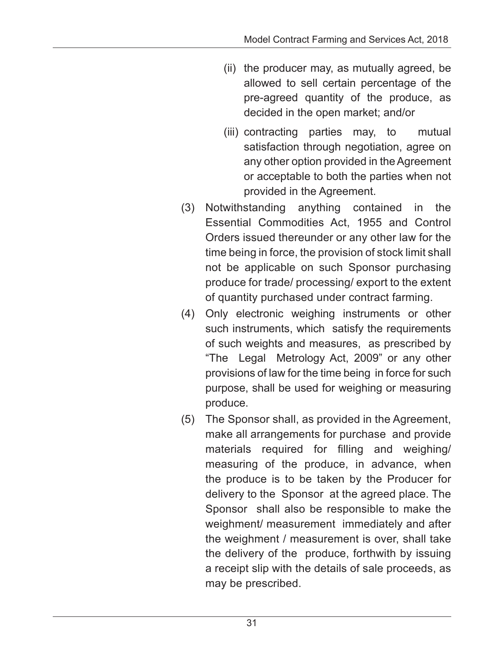- (ii) the producer may, as mutually agreed, be allowed to sell certain percentage of the pre-agreed quantity of the produce, as decided in the open market; and/or
- (iii) contracting parties may, to mutual satisfaction through negotiation, agree on any other option provided in the Agreement or acceptable to both the parties when not provided in the Agreement.
- (3) Notwithstanding anything contained in the Essential Commodities Act, 1955 and Control Orders issued thereunder or any other law for the time being in force, the provision of stock limit shall not be applicable on such Sponsor purchasing produce for trade/ processing/ export to the extent of quantity purchased under contract farming.
- (4) Only electronic weighing instruments or other such instruments, which satisfy the requirements of such weights and measures, as prescribed by "The Legal Metrology Act, 2009" or any other provisions of law for the time being in force for such purpose, shall be used for weighing or measuring produce.
- (5) The Sponsor shall, as provided in the Agreement, make all arrangements for purchase and provide materials required for filling and weighing/ measuring of the produce, in advance, when the produce is to be taken by the Producer for delivery to the Sponsor at the agreed place. The Sponsor shall also be responsible to make the weighment/ measurement immediately and after the weighment / measurement is over, shall take the delivery of the produce, forthwith by issuing a receipt slip with the details of sale proceeds, as may be prescribed.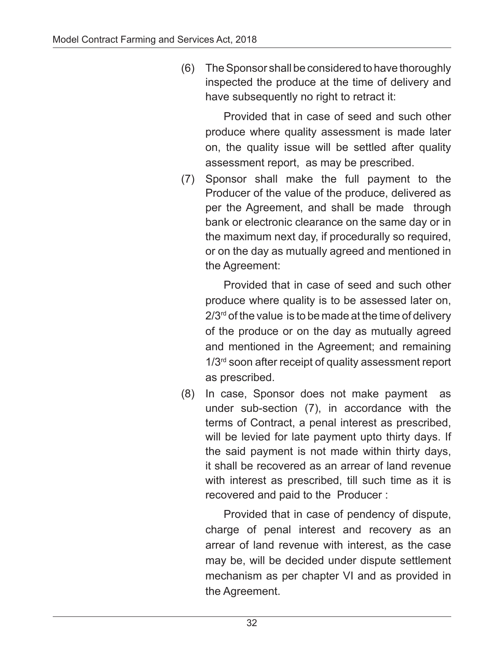(6) The Sponsor shall be considered to have thoroughly inspected the produce at the time of delivery and have subsequently no right to retract it:

Provided that in case of seed and such other produce where quality assessment is made later on, the quality issue will be settled after quality assessment report, as may be prescribed.

(7) Sponsor shall make the full payment to the Producer of the value of the produce, delivered as per the Agreement, and shall be made through bank or electronic clearance on the same day or in the maximum next day, if procedurally so required, or on the day as mutually agreed and mentioned in the Agreement:

Provided that in case of seed and such other produce where quality is to be assessed later on,  $2/3<sup>rd</sup>$  of the value is to be made at the time of delivery of the produce or on the day as mutually agreed and mentioned in the Agreement; and remaining 1/3<sup>rd</sup> soon after receipt of quality assessment report as prescribed.

(8) In case, Sponsor does not make payment as under sub-section (7), in accordance with the terms of Contract, a penal interest as prescribed, will be levied for late payment upto thirty days. If the said payment is not made within thirty days, it shall be recovered as an arrear of land revenue with interest as prescribed, till such time as it is recovered and paid to the Producer :

Provided that in case of pendency of dispute, charge of penal interest and recovery as an arrear of land revenue with interest, as the case may be, will be decided under dispute settlement mechanism as per chapter VI and as provided in the Agreement.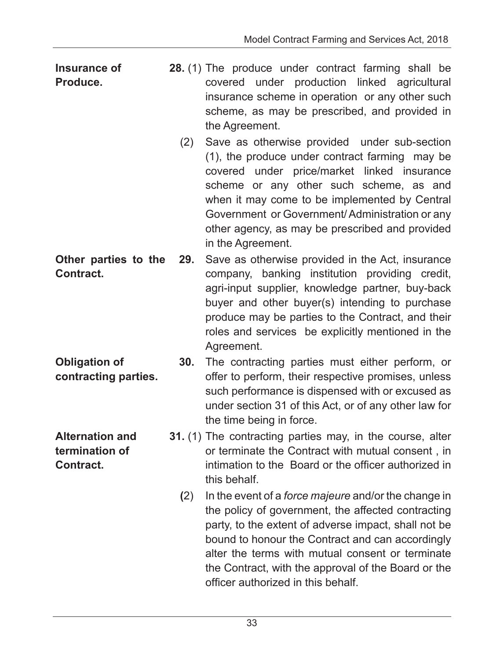| Insurance of | 28. (1) The produce under contract farming shall be |
|--------------|-----------------------------------------------------|
| Produce.     | covered under production linked agricultural        |
|              | insurance scheme in operation or any other such     |
|              | scheme, as may be prescribed, and provided in       |
|              | the Agreement.                                      |

- (2) Save as otherwise provided under sub-section (1), the produce under contract farming may be covered under price/market linked insurance scheme or any other such scheme, as and when it may come to be implemented by Central Government or Government/ Administration or any other agency, as may be prescribed and provided in the Agreement.
- **Other parties to the Contract. 29.** Save as otherwise provided in the Act, insurance company, banking institution providing credit, agri-input supplier, knowledge partner, buy-back buyer and other buyer(s) intending to purchase produce may be parties to the Contract, and their roles and services be explicitly mentioned in the Agreement.
- **Obligation of contracting parties. 30.** The contracting parties must either perform, or offer to perform, their respective promises, unless such performance is dispensed with or excused as under section 31 of this Act, or of any other law for the time being in force.
	- **31.** (1) The contracting parties may, in the course, alter or terminate the Contract with mutual consent , in intimation to the Board or the officer authorized in this behalf.
		- **(**2) In the event of a *force majeure* and/or the change in the policy of government, the affected contracting party, to the extent of adverse impact, shall not be bound to honour the Contract and can accordingly alter the terms with mutual consent or terminate the Contract, with the approval of the Board or the officer authorized in this behalf.

**Alternation and termination of Contract.**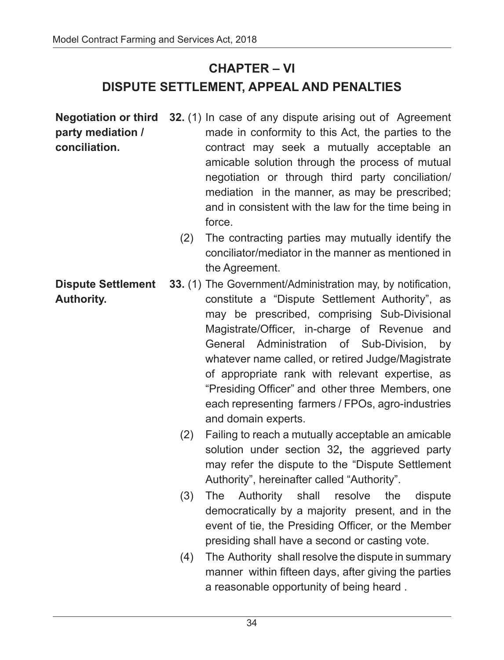### **CHAPTER – VI**

### **DISPUTE SETTLEMENT, APPEAL AND PENALTIES**

- **Negotiation or third party mediation / conciliation. 32.** (1) In case of any dispute arising out of Agreement made in conformity to this Act, the parties to the contract may seek a mutually acceptable an amicable solution through the process of mutual negotiation or through third party conciliation/ mediation in the manner, as may be prescribed; and in consistent with the law for the time being in force.
	- (2) The contracting parties may mutually identify the conciliator/mediator in the manner as mentioned in the Agreement.
- **Dispute Settlement Authority. 33.** (1) The Government/Administration may, by notification, constitute a "Dispute Settlement Authority", as may be prescribed, comprising Sub-Divisional Magistrate/Officer, in-charge of Revenue and General Administration of Sub-Division, by whatever name called, or retired Judge/Magistrate of appropriate rank with relevant expertise, as "Presiding Officer" and other three Members, one each representing farmers / FPOs, agro-industries and domain experts.
	- (2) Failing to reach a mutually acceptable an amicable solution under section 32**,** the aggrieved party may refer the dispute to the "Dispute Settlement Authority", hereinafter called "Authority".
	- (3) The Authority shall resolve the dispute democratically by a majority present, and in the event of tie, the Presiding Officer, or the Member presiding shall have a second or casting vote.
	- (4) The Authority shall resolve the dispute in summary manner within fifteen days, after giving the parties a reasonable opportunity of being heard .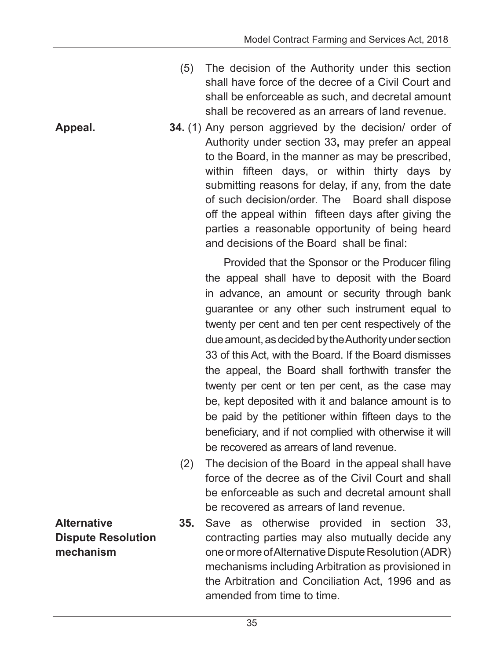(5) The decision of the Authority under this section shall have force of the decree of a Civil Court and shall be enforceable as such, and decretal amount shall be recovered as an arrears of land revenue.

**Appeal. 34.** (1) Any person aggrieved by the decision/ order of Authority under section 33**,** may prefer an appeal to the Board, in the manner as may be prescribed, within fifteen days, or within thirty days by submitting reasons for delay, if any, from the date of such decision/order. The Board shall dispose off the appeal within fifteen days after giving the parties a reasonable opportunity of being heard and decisions of the Board shall be final:

> Provided that the Sponsor or the Producer filing the appeal shall have to deposit with the Board in advance, an amount or security through bank guarantee or any other such instrument equal to twenty per cent and ten per cent respectively of the due amount, as decided by the Authority under section 33 of this Act, with the Board. If the Board dismisses the appeal, the Board shall forthwith transfer the twenty per cent or ten per cent, as the case may be, kept deposited with it and balance amount is to be paid by the petitioner within fifteen days to the beneficiary, and if not complied with otherwise it will be recovered as arrears of land revenue.

- (2) The decision of the Board in the appeal shall have force of the decree as of the Civil Court and shall be enforceable as such and decretal amount shall be recovered as arrears of land revenue.
- **35.** Save as otherwise provided in section 33, contracting parties may also mutually decide any one or more of Alternative Dispute Resolution (ADR) mechanisms including Arbitration as provisioned in the Arbitration and Conciliation Act, 1996 and as amended from time to time.

**Alternative Dispute Resolution mechanism**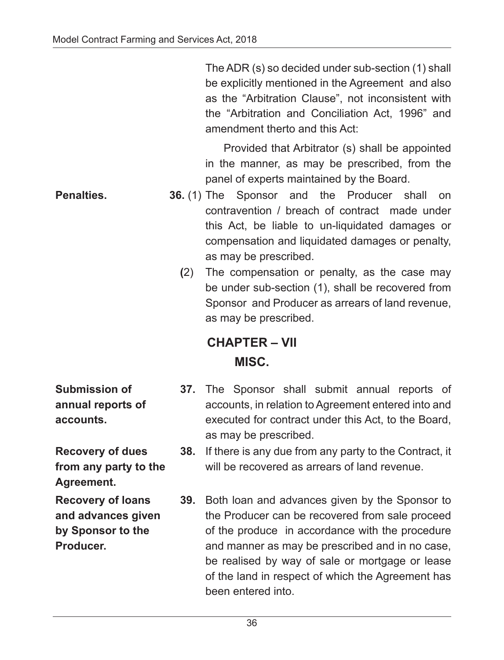The ADR (s) so decided under sub-section (1) shall be explicitly mentioned in the Agreement and also as the "Arbitration Clause", not inconsistent with the "Arbitration and Conciliation Act, 1996" and amendment therto and this Act:

Provided that Arbitrator (s) shall be appointed in the manner, as may be prescribed, from the panel of experts maintained by the Board.

- **Penalties. 36.** (1) The Sponsor and the Producer shall on contravention / breach of contract made under this Act, be liable to un-liquidated damages or compensation and liquidated damages or penalty, as may be prescribed.
	- **(**2) The compensation or penalty, as the case may be under sub-section (1), shall be recovered from Sponsor and Producer as arrears of land revenue, as may be prescribed.

## **CHAPTER – VII MISC.**

**Submission of annual reports of accounts.**

**Recovery of dues from any party to the Agreement.**

**Recovery of loans and advances given by Sponsor to the Producer.**

- **37.** The Sponsor shall submit annual reports of accounts, in relation to Agreement entered into and executed for contract under this Act, to the Board, as may be prescribed.
	- **38.** If there is any due from any party to the Contract, it will be recovered as arrears of land revenue.
	- **39.** Both loan and advances given by the Sponsor to the Producer can be recovered from sale proceed of the produce in accordance with the procedure and manner as may be prescribed and in no case, be realised by way of sale or mortgage or lease of the land in respect of which the Agreement has been entered into.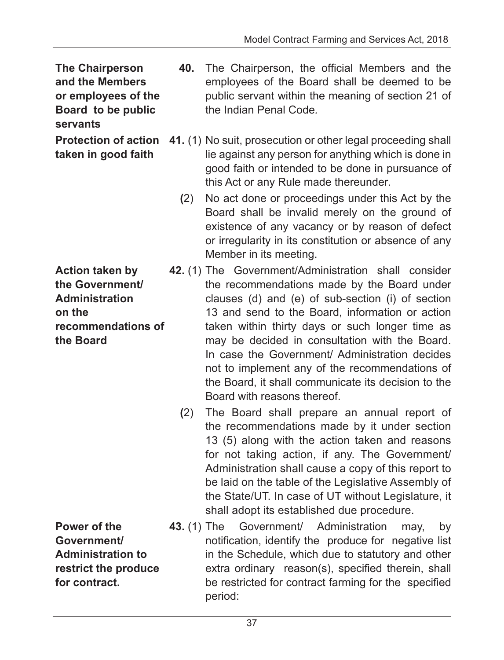**The Chairperson and the Members or employees of the Board to be public servants**

**taken in good faith**

- **40.** The Chairperson, the official Members and the employees of the Board shall be deemed to be public servant within the meaning of section 21 of the Indian Penal Code*.*
- **Protection of action 41.** (1) No suit, prosecution or other legal proceeding shall lie against any person for anything which is done in good faith or intended to be done in pursuance of this Act or any Rule made thereunder*.*
	- **(**2) No act done or proceedings under this Act by the Board shall be invalid merely on the ground of existence of any vacancy or by reason of defect or irregularity in its constitution or absence of any Member in its meeting.
- **Action taken by the Government/ Administration on the recommendations of the Board 42.** (1) The Government/Administration shall consider the recommendations made by the Board under clauses (d) and (e) of sub-section (i) of section 13 and send to the Board, information or action taken within thirty days or such longer time as may be decided in consultation with the Board. In case the Government/ Administration decides not to implement any of the recommendations of the Board, it shall communicate its decision to the Board with reasons thereof.
	- **(**2) The Board shall prepare an annual report of the recommendations made by it under section 13 (5) along with the action taken and reasons for not taking action, if any. The Government/ Administration shall cause a copy of this report to be laid on the table of the Legislative Assembly of the State/UT. In case of UT without Legislature, it shall adopt its established due procedure.
- **Power of the Government/ Administration to restrict the produce for contract. 43.** (1) The Government/ Administration may, by notification, identify the produce for negative list in the Schedule, which due to statutory and other extra ordinary reason(s), specified therein, shall be restricted for contract farming for the specified period:

37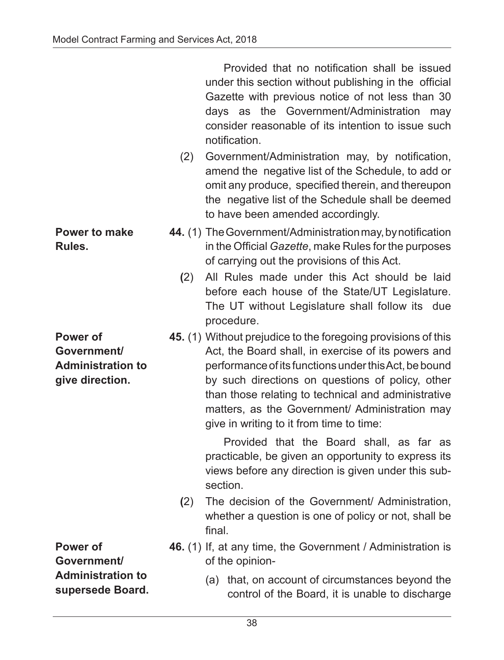|                                                                        | (2) | Provided that no notification shall be issued<br>under this section without publishing in the official<br>Gazette with previous notice of not less than 30<br>the Government/Administration<br>days as<br>may<br>consider reasonable of its intention to issue such<br>notification.<br>Government/Administration may, by notification,<br>amend the negative list of the Schedule, to add or<br>omit any produce, specified therein, and thereupon<br>the negative list of the Schedule shall be deemed<br>to have been amended accordingly. |
|------------------------------------------------------------------------|-----|-----------------------------------------------------------------------------------------------------------------------------------------------------------------------------------------------------------------------------------------------------------------------------------------------------------------------------------------------------------------------------------------------------------------------------------------------------------------------------------------------------------------------------------------------|
| <b>Power to make</b><br>Rules.                                         |     | 44. (1) The Government/Administration may, by notification<br>in the Official Gazette, make Rules for the purposes<br>of carrying out the provisions of this Act.                                                                                                                                                                                                                                                                                                                                                                             |
|                                                                        | (2) | All Rules made under this Act should be laid<br>before each house of the State/UT Legislature.<br>The UT without Legislature shall follow its due<br>procedure.                                                                                                                                                                                                                                                                                                                                                                               |
| Power of<br>Government/<br><b>Administration to</b><br>give direction. |     | 45. (1) Without prejudice to the foregoing provisions of this<br>Act, the Board shall, in exercise of its powers and<br>performance of its functions under this Act, be bound<br>by such directions on questions of policy, other<br>than those relating to technical and administrative<br>matters, as the Government/ Administration may<br>give in writing to it from time to time:                                                                                                                                                        |
|                                                                        |     | Provided that the Board shall, as far as<br>practicable, be given an opportunity to express its<br>views before any direction is given under this sub-<br>section.                                                                                                                                                                                                                                                                                                                                                                            |
|                                                                        | (2) | The decision of the Government/ Administration,<br>whether a question is one of policy or not, shall be<br>final.                                                                                                                                                                                                                                                                                                                                                                                                                             |
| Power of<br>Government/                                                |     | 46. (1) If, at any time, the Government / Administration is<br>of the opinion-                                                                                                                                                                                                                                                                                                                                                                                                                                                                |
| <b>Administration to</b><br>supersede Board.                           |     | (a) that, on account of circumstances beyond the<br>control of the Board, it is unable to discharge                                                                                                                                                                                                                                                                                                                                                                                                                                           |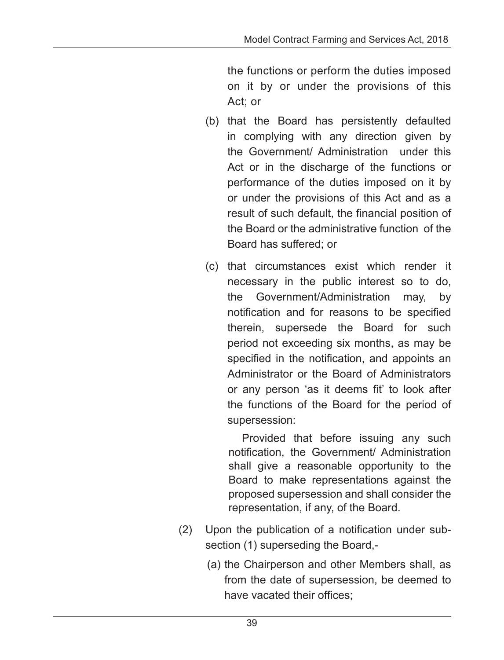the functions or perform the duties imposed on it by or under the provisions of this Act; or

- (b) that the Board has persistently defaulted in complying with any direction given by the Government/ Administration under this Act or in the discharge of the functions or performance of the duties imposed on it by or under the provisions of this Act and as a result of such default, the financial position of the Board or the administrative function of the Board has suffered; or
- (c) that circumstances exist which render it necessary in the public interest so to do, the Government/Administration may, by notification and for reasons to be specified therein, supersede the Board for such period not exceeding six months, as may be specified in the notification, and appoints an Administrator or the Board of Administrators or any person 'as it deems fit' to look after the functions of the Board for the period of supersession:

Provided that before issuing any such notification, the Government/ Administration shall give a reasonable opportunity to the Board to make representations against the proposed supersession and shall consider the representation, if any, of the Board.

- (2) Upon the publication of a notification under subsection (1) superseding the Board,-
	- (a) the Chairperson and other Members shall, as from the date of supersession, be deemed to have vacated their offices;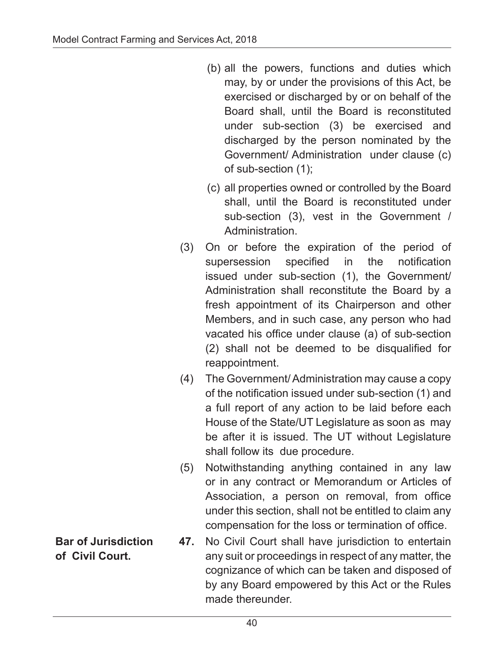- (b) all the powers, functions and duties which may, by or under the provisions of this Act, be exercised or discharged by or on behalf of the Board shall, until the Board is reconstituted under sub-section (3) be exercised and discharged by the person nominated by the Government/ Administration under clause (c) of sub-section (1);
- (c) all properties owned or controlled by the Board shall, until the Board is reconstituted under sub-section (3), vest in the Government / Administration.
- (3) On or before the expiration of the period of supersession specified in the notification issued under sub-section (1), the Government/ Administration shall reconstitute the Board by a fresh appointment of its Chairperson and other Members, and in such case, any person who had vacated his office under clause (a) of sub-section (2) shall not be deemed to be disqualified for reappointment.
- (4) The Government/ Administration may cause a copy of the notification issued under sub-section (1) and a full report of any action to be laid before each House of the State/UT Legislature as soon as may be after it is issued. The UT without Legislature shall follow its due procedure.
- (5) Notwithstanding anything contained in any law or in any contract or Memorandum or Articles of Association, a person on removal, from office under this section, shall not be entitled to claim any compensation for the loss or termination of office.
- **47.** No Civil Court shall have jurisdiction to entertain any suit or proceedings in respect of any matter, the cognizance of which can be taken and disposed of by any Board empowered by this Act or the Rules made thereunder.

**Bar of Jurisdiction of Civil Court.**